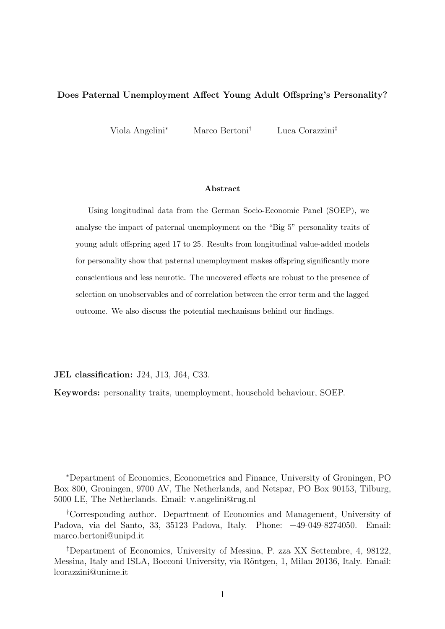#### Does Paternal Unemployment Affect Young Adult Offspring's Personality?

Viola Angelini<sup>∗</sup> Marco Bertoni† Luca Corazzini‡

#### Abstract

Using longitudinal data from the German Socio-Economic Panel (SOEP), we analyse the impact of paternal unemployment on the "Big 5" personality traits of young adult offspring aged 17 to 25. Results from longitudinal value-added models for personality show that paternal unemployment makes offspring significantly more conscientious and less neurotic. The uncovered effects are robust to the presence of selection on unobservables and of correlation between the error term and the lagged outcome. We also discuss the potential mechanisms behind our findings.

JEL classification: J24, J13, J64, C33.

Keywords: personality traits, unemployment, household behaviour, SOEP.

<sup>∗</sup>Department of Economics, Econometrics and Finance, University of Groningen, PO Box 800, Groningen, 9700 AV, The Netherlands, and Netspar, PO Box 90153, Tilburg, 5000 LE, The Netherlands. Email: v.angelini@rug.nl

<sup>†</sup>Corresponding author. Department of Economics and Management, University of Padova, via del Santo, 33, 35123 Padova, Italy. Phone: +49-049-8274050. Email: marco.bertoni@unipd.it

<sup>‡</sup>Department of Economics, University of Messina, P. zza XX Settembre, 4, 98122, Messina, Italy and ISLA, Bocconi University, via Röntgen, 1, Milan 20136, Italy. Email: lcorazzini@unime.it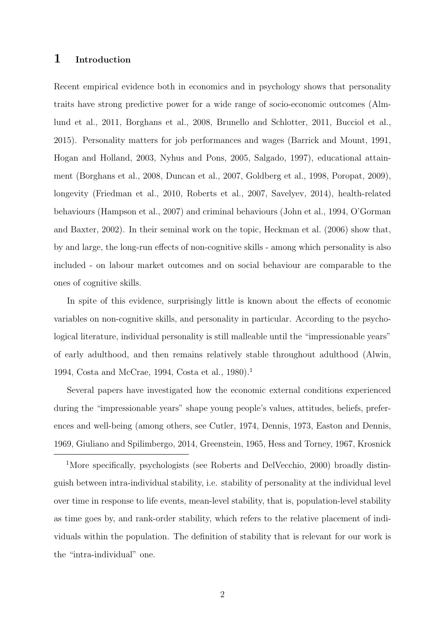### 1 Introduction

Recent empirical evidence both in economics and in psychology shows that personality traits have strong predictive power for a wide range of socio-economic outcomes (Almlund et al., 2011, Borghans et al., 2008, Brunello and Schlotter, 2011, Bucciol et al., 2015). Personality matters for job performances and wages (Barrick and Mount, 1991, Hogan and Holland, 2003, Nyhus and Pons, 2005, Salgado, 1997), educational attainment (Borghans et al., 2008, Duncan et al., 2007, Goldberg et al., 1998, Poropat, 2009), longevity (Friedman et al., 2010, Roberts et al., 2007, Savelyev, 2014), health-related behaviours (Hampson et al., 2007) and criminal behaviours (John et al., 1994, O'Gorman and Baxter, 2002). In their seminal work on the topic, Heckman et al. (2006) show that, by and large, the long-run effects of non-cognitive skills - among which personality is also included - on labour market outcomes and on social behaviour are comparable to the ones of cognitive skills.

In spite of this evidence, surprisingly little is known about the effects of economic variables on non-cognitive skills, and personality in particular. According to the psychological literature, individual personality is still malleable until the "impressionable years" of early adulthood, and then remains relatively stable throughout adulthood (Alwin, 1994, Costa and McCrae, 1994, Costa et al., 1980).<sup>1</sup>

Several papers have investigated how the economic external conditions experienced during the "impressionable years" shape young people's values, attitudes, beliefs, preferences and well-being (among others, see Cutler, 1974, Dennis, 1973, Easton and Dennis, 1969, Giuliano and Spilimbergo, 2014, Greenstein, 1965, Hess and Torney, 1967, Krosnick

<sup>1</sup>More specifically, psychologists (see Roberts and DelVecchio, 2000) broadly distinguish between intra-individual stability, i.e. stability of personality at the individual level over time in response to life events, mean-level stability, that is, population-level stability as time goes by, and rank-order stability, which refers to the relative placement of individuals within the population. The definition of stability that is relevant for our work is the "intra-individual" one.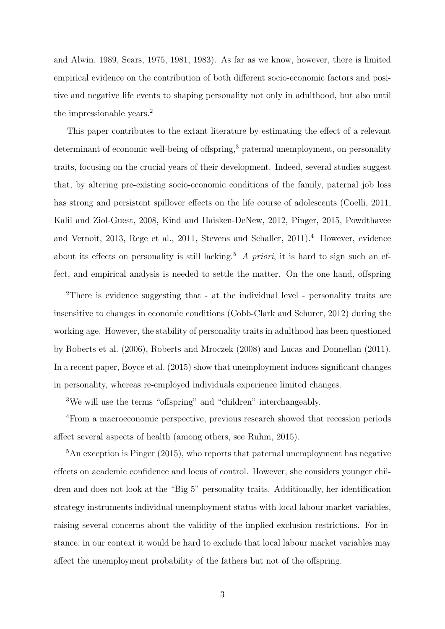and Alwin, 1989, Sears, 1975, 1981, 1983). As far as we know, however, there is limited empirical evidence on the contribution of both different socio-economic factors and positive and negative life events to shaping personality not only in adulthood, but also until the impressionable years.<sup>2</sup>

This paper contributes to the extant literature by estimating the effect of a relevant determinant of economic well-being of offspring,<sup>3</sup> paternal unemployment, on personality traits, focusing on the crucial years of their development. Indeed, several studies suggest that, by altering pre-existing socio-economic conditions of the family, paternal job loss has strong and persistent spillover effects on the life course of adolescents (Coelli, 2011, Kalil and Ziol-Guest, 2008, Kind and Haisken-DeNew, 2012, Pinger, 2015, Powdthavee and Vernoit, 2013, Rege et al., 2011, Stevens and Schaller, 2011).<sup>4</sup> However, evidence about its effects on personality is still lacking.<sup>5</sup> A priori, it is hard to sign such an effect, and empirical analysis is needed to settle the matter. On the one hand, offspring

<sup>2</sup>There is evidence suggesting that - at the individual level - personality traits are insensitive to changes in economic conditions (Cobb-Clark and Schurer, 2012) during the working age. However, the stability of personality traits in adulthood has been questioned by Roberts et al. (2006), Roberts and Mroczek (2008) and Lucas and Donnellan (2011). In a recent paper, Boyce et al. (2015) show that unemployment induces significant changes in personality, whereas re-employed individuals experience limited changes.

<sup>3</sup>We will use the terms "offspring" and "children" interchangeably.

<sup>4</sup>From a macroeconomic perspective, previous research showed that recession periods affect several aspects of health (among others, see Ruhm, 2015).

<sup>5</sup>An exception is Pinger (2015), who reports that paternal unemployment has negative effects on academic confidence and locus of control. However, she considers younger children and does not look at the "Big 5" personality traits. Additionally, her identification strategy instruments individual unemployment status with local labour market variables, raising several concerns about the validity of the implied exclusion restrictions. For instance, in our context it would be hard to exclude that local labour market variables may affect the unemployment probability of the fathers but not of the offspring.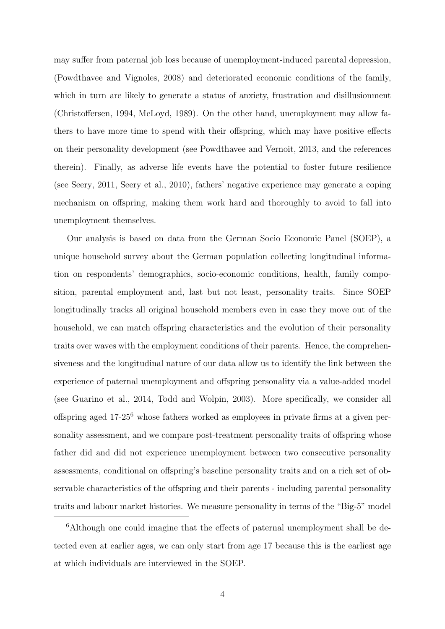may suffer from paternal job loss because of unemployment-induced parental depression, (Powdthavee and Vignoles, 2008) and deteriorated economic conditions of the family, which in turn are likely to generate a status of anxiety, frustration and disillusionment (Christoffersen, 1994, McLoyd, 1989). On the other hand, unemployment may allow fathers to have more time to spend with their offspring, which may have positive effects on their personality development (see Powdthavee and Vernoit, 2013, and the references therein). Finally, as adverse life events have the potential to foster future resilience (see Seery, 2011, Seery et al., 2010), fathers' negative experience may generate a coping mechanism on offspring, making them work hard and thoroughly to avoid to fall into unemployment themselves.

Our analysis is based on data from the German Socio Economic Panel (SOEP), a unique household survey about the German population collecting longitudinal information on respondents' demographics, socio-economic conditions, health, family composition, parental employment and, last but not least, personality traits. Since SOEP longitudinally tracks all original household members even in case they move out of the household, we can match offspring characteristics and the evolution of their personality traits over waves with the employment conditions of their parents. Hence, the comprehensiveness and the longitudinal nature of our data allow us to identify the link between the experience of paternal unemployment and offspring personality via a value-added model (see Guarino et al., 2014, Todd and Wolpin, 2003). More specifically, we consider all offspring aged  $17{\text -}25^6$  whose fathers worked as employees in private firms at a given personality assessment, and we compare post-treatment personality traits of offspring whose father did and did not experience unemployment between two consecutive personality assessments, conditional on offspring's baseline personality traits and on a rich set of observable characteristics of the offspring and their parents - including parental personality traits and labour market histories. We measure personality in terms of the "Big-5" model

<sup>6</sup>Although one could imagine that the effects of paternal unemployment shall be detected even at earlier ages, we can only start from age 17 because this is the earliest age at which individuals are interviewed in the SOEP.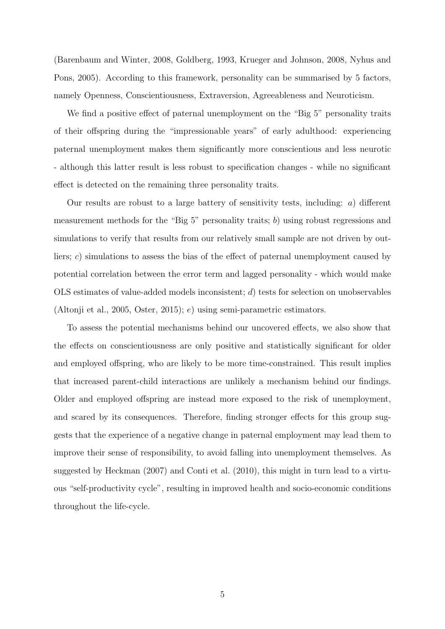(Barenbaum and Winter, 2008, Goldberg, 1993, Krueger and Johnson, 2008, Nyhus and Pons, 2005). According to this framework, personality can be summarised by 5 factors, namely Openness, Conscientiousness, Extraversion, Agreeableness and Neuroticism.

We find a positive effect of paternal unemployment on the "Big 5" personality traits of their offspring during the "impressionable years" of early adulthood: experiencing paternal unemployment makes them significantly more conscientious and less neurotic - although this latter result is less robust to specification changes - while no significant effect is detected on the remaining three personality traits.

Our results are robust to a large battery of sensitivity tests, including:  $a)$  different measurement methods for the "Big 5" personality traits; b) using robust regressions and simulations to verify that results from our relatively small sample are not driven by outliers; c) simulations to assess the bias of the effect of paternal unemployment caused by potential correlation between the error term and lagged personality - which would make OLS estimates of value-added models inconsistent; d) tests for selection on unobservables (Altonji et al., 2005, Oster, 2015); e) using semi-parametric estimators.

To assess the potential mechanisms behind our uncovered effects, we also show that the effects on conscientiousness are only positive and statistically significant for older and employed offspring, who are likely to be more time-constrained. This result implies that increased parent-child interactions are unlikely a mechanism behind our findings. Older and employed offspring are instead more exposed to the risk of unemployment, and scared by its consequences. Therefore, finding stronger effects for this group suggests that the experience of a negative change in paternal employment may lead them to improve their sense of responsibility, to avoid falling into unemployment themselves. As suggested by Heckman (2007) and Conti et al. (2010), this might in turn lead to a virtuous "self-productivity cycle", resulting in improved health and socio-economic conditions throughout the life-cycle.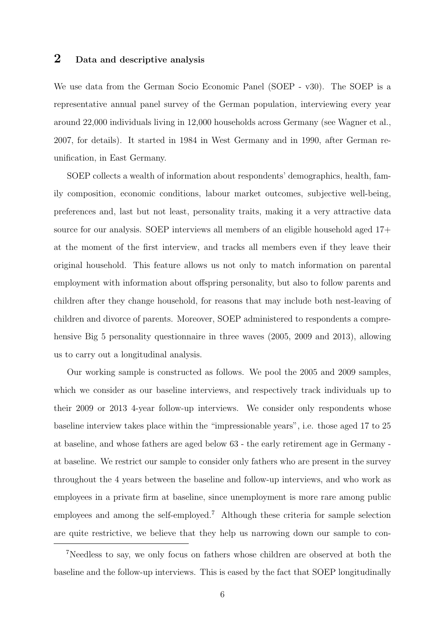## 2 Data and descriptive analysis

We use data from the German Socio Economic Panel (SOEP - v30). The SOEP is a representative annual panel survey of the German population, interviewing every year around 22,000 individuals living in 12,000 households across Germany (see Wagner et al., 2007, for details). It started in 1984 in West Germany and in 1990, after German reunification, in East Germany.

SOEP collects a wealth of information about respondents' demographics, health, family composition, economic conditions, labour market outcomes, subjective well-being, preferences and, last but not least, personality traits, making it a very attractive data source for our analysis. SOEP interviews all members of an eligible household aged 17+ at the moment of the first interview, and tracks all members even if they leave their original household. This feature allows us not only to match information on parental employment with information about offspring personality, but also to follow parents and children after they change household, for reasons that may include both nest-leaving of children and divorce of parents. Moreover, SOEP administered to respondents a comprehensive Big 5 personality questionnaire in three waves (2005, 2009 and 2013), allowing us to carry out a longitudinal analysis.

Our working sample is constructed as follows. We pool the 2005 and 2009 samples, which we consider as our baseline interviews, and respectively track individuals up to their 2009 or 2013 4-year follow-up interviews. We consider only respondents whose baseline interview takes place within the "impressionable years", i.e. those aged 17 to 25 at baseline, and whose fathers are aged below 63 - the early retirement age in Germany at baseline. We restrict our sample to consider only fathers who are present in the survey throughout the 4 years between the baseline and follow-up interviews, and who work as employees in a private firm at baseline, since unemployment is more rare among public employees and among the self-employed.<sup>7</sup> Although these criteria for sample selection are quite restrictive, we believe that they help us narrowing down our sample to con-

<sup>7</sup>Needless to say, we only focus on fathers whose children are observed at both the baseline and the follow-up interviews. This is eased by the fact that SOEP longitudinally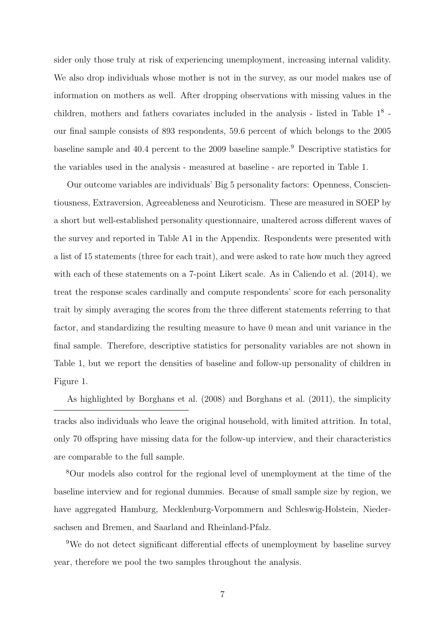sider only those truly at risk of experiencing unemployment, increasing internal validity. We also drop individuals whose mother is not in the survey, as our model makes use of information on mothers as well. After dropping observations with missing values in the children, mothers and fathers covariates included in the analysis - listed in Table 1<sup>8</sup> our final sample consists of 893 respondents, 59.6 percent of which belongs to the 2005 baseline sample and 40.4 percent to the 2009 baseline sample.<sup>9</sup> Descriptive statistics for the variables used in the analysis - measured at baseline - are reported in Table 1.

Our outcome variables are individuals' Big 5 personality factors: Openness, Conscientiousness, Extraversion, Agreeableness and Neuroticism. These are measured in SOEP by a short but well-established personality questionnaire, unaltered across different waves of the survey and reported in Table A1 in the Appendix. Respondents were presented with a list of 15 statements (three for each trait), and were asked to rate how much they agreed with each of these statements on a 7-point Likert scale. As in Caliendo et al. (2014), we treat the response scales cardinally and compute respondents' score for each personality trait by simply averaging the scores from the three different statements referring to that factor, and standardizing the resulting measure to have 0 mean and unit variance in the final sample. Therefore, descriptive statistics for personality variables are not shown in Table 1, but we report the densities of baseline and follow-up personality of children in Figure 1.

As highlighted by Borghans et al. (2008) and Borghans et al. (2011), the simplicity tracks also individuals who leave the original household, with limited attrition. In total, only 70 offspring have missing data for the follow-up interview, and their characteristics are comparable to the full sample.

<sup>8</sup>Our models also control for the regional level of unemployment at the time of the baseline interview and for regional dummies. Because of small sample size by region, we have aggregated Hamburg, Mecklenburg-Vorpommern and Schleswig-Holstein, Niedersachsen and Bremen, and Saarland and Rheinland-Pfalz.

<sup>9</sup>We do not detect significant differential effects of unemployment by baseline survey year, therefore we pool the two samples throughout the analysis.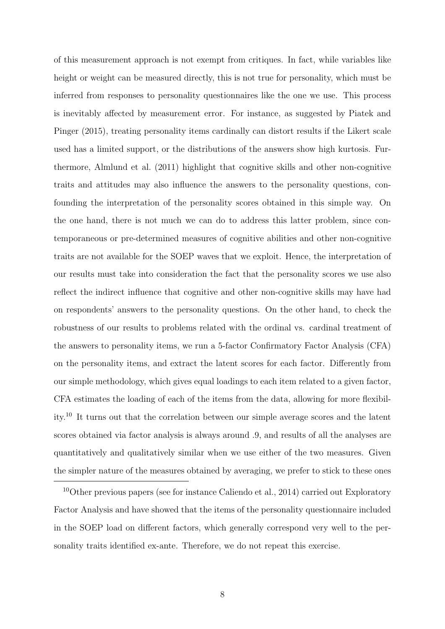of this measurement approach is not exempt from critiques. In fact, while variables like height or weight can be measured directly, this is not true for personality, which must be inferred from responses to personality questionnaires like the one we use. This process is inevitably affected by measurement error. For instance, as suggested by Piatek and Pinger (2015), treating personality items cardinally can distort results if the Likert scale used has a limited support, or the distributions of the answers show high kurtosis. Furthermore, Almlund et al. (2011) highlight that cognitive skills and other non-cognitive traits and attitudes may also influence the answers to the personality questions, confounding the interpretation of the personality scores obtained in this simple way. On the one hand, there is not much we can do to address this latter problem, since contemporaneous or pre-determined measures of cognitive abilities and other non-cognitive traits are not available for the SOEP waves that we exploit. Hence, the interpretation of our results must take into consideration the fact that the personality scores we use also reflect the indirect influence that cognitive and other non-cognitive skills may have had on respondents' answers to the personality questions. On the other hand, to check the robustness of our results to problems related with the ordinal vs. cardinal treatment of the answers to personality items, we run a 5-factor Confirmatory Factor Analysis (CFA) on the personality items, and extract the latent scores for each factor. Differently from our simple methodology, which gives equal loadings to each item related to a given factor, CFA estimates the loading of each of the items from the data, allowing for more flexibility.<sup>10</sup> It turns out that the correlation between our simple average scores and the latent scores obtained via factor analysis is always around .9, and results of all the analyses are quantitatively and qualitatively similar when we use either of the two measures. Given the simpler nature of the measures obtained by averaging, we prefer to stick to these ones

<sup>&</sup>lt;sup>10</sup>Other previous papers (see for instance Caliendo et al., 2014) carried out Exploratory Factor Analysis and have showed that the items of the personality questionnaire included in the SOEP load on different factors, which generally correspond very well to the personality traits identified ex-ante. Therefore, we do not repeat this exercise.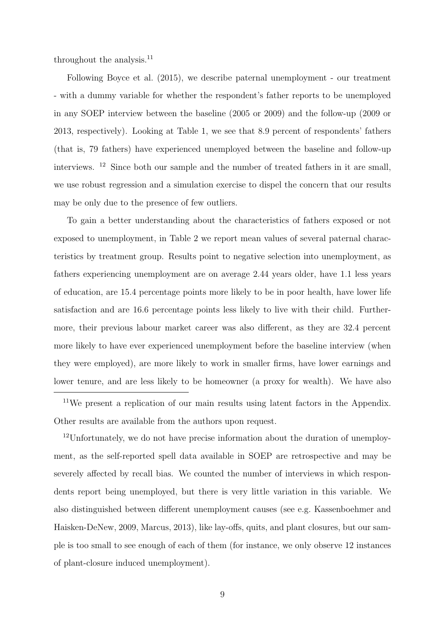throughout the analysis.<sup>11</sup>

Following Boyce et al. (2015), we describe paternal unemployment - our treatment - with a dummy variable for whether the respondent's father reports to be unemployed in any SOEP interview between the baseline (2005 or 2009) and the follow-up (2009 or 2013, respectively). Looking at Table 1, we see that 8.9 percent of respondents' fathers (that is, 79 fathers) have experienced unemployed between the baseline and follow-up interviews. <sup>12</sup> Since both our sample and the number of treated fathers in it are small, we use robust regression and a simulation exercise to dispel the concern that our results may be only due to the presence of few outliers.

To gain a better understanding about the characteristics of fathers exposed or not exposed to unemployment, in Table 2 we report mean values of several paternal characteristics by treatment group. Results point to negative selection into unemployment, as fathers experiencing unemployment are on average 2.44 years older, have 1.1 less years of education, are 15.4 percentage points more likely to be in poor health, have lower life satisfaction and are 16.6 percentage points less likely to live with their child. Furthermore, their previous labour market career was also different, as they are 32.4 percent more likely to have ever experienced unemployment before the baseline interview (when they were employed), are more likely to work in smaller firms, have lower earnings and lower tenure, and are less likely to be homeowner (a proxy for wealth). We have also

<sup>11</sup>We present a replication of our main results using latent factors in the Appendix. Other results are available from the authors upon request.

<sup>12</sup>Unfortunately, we do not have precise information about the duration of unemployment, as the self-reported spell data available in SOEP are retrospective and may be severely affected by recall bias. We counted the number of interviews in which respondents report being unemployed, but there is very little variation in this variable. We also distinguished between different unemployment causes (see e.g. Kassenboehmer and Haisken-DeNew, 2009, Marcus, 2013), like lay-offs, quits, and plant closures, but our sample is too small to see enough of each of them (for instance, we only observe 12 instances of plant-closure induced unemployment).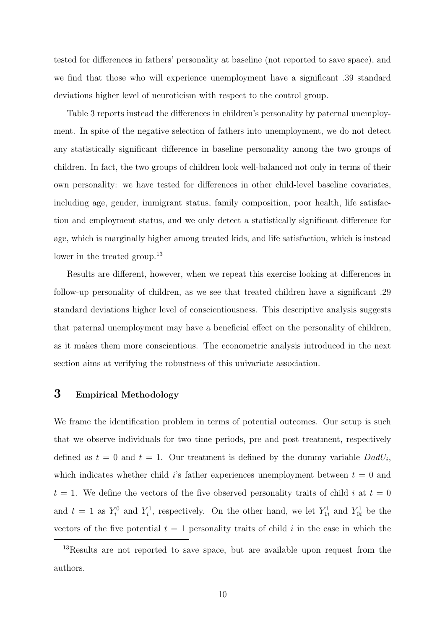tested for differences in fathers' personality at baseline (not reported to save space), and we find that those who will experience unemployment have a significant .39 standard deviations higher level of neuroticism with respect to the control group.

Table 3 reports instead the differences in children's personality by paternal unemployment. In spite of the negative selection of fathers into unemployment, we do not detect any statistically significant difference in baseline personality among the two groups of children. In fact, the two groups of children look well-balanced not only in terms of their own personality: we have tested for differences in other child-level baseline covariates, including age, gender, immigrant status, family composition, poor health, life satisfaction and employment status, and we only detect a statistically significant difference for age, which is marginally higher among treated kids, and life satisfaction, which is instead lower in the treated group.<sup>13</sup>

Results are different, however, when we repeat this exercise looking at differences in follow-up personality of children, as we see that treated children have a significant .29 standard deviations higher level of conscientiousness. This descriptive analysis suggests that paternal unemployment may have a beneficial effect on the personality of children, as it makes them more conscientious. The econometric analysis introduced in the next section aims at verifying the robustness of this univariate association.

## 3 Empirical Methodology

We frame the identification problem in terms of potential outcomes. Our setup is such that we observe individuals for two time periods, pre and post treatment, respectively defined as  $t = 0$  and  $t = 1$ . Our treatment is defined by the dummy variable  $D \text{ad} U_i$ , which indicates whether child is father experiences unemployment between  $t = 0$  and  $t = 1$ . We define the vectors of the five observed personality traits of child i at  $t = 0$ and  $t = 1$  as  $Y_i^0$  and  $Y_i^1$ , respectively. On the other hand, we let  $Y_{1i}^1$  and  $Y_{0i}^1$  be the vectors of the five potential  $t = 1$  personality traits of child i in the case in which the

<sup>13</sup>Results are not reported to save space, but are available upon request from the authors.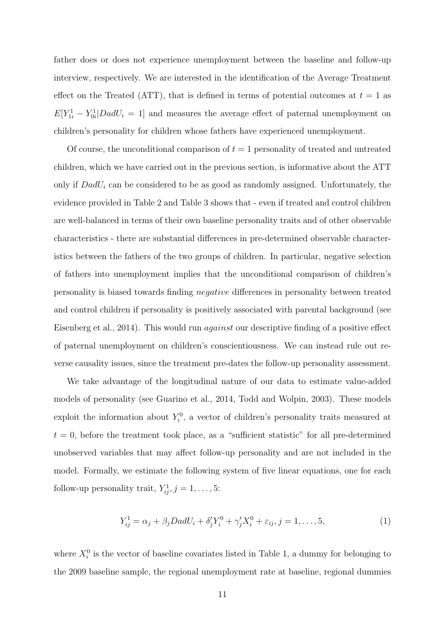father does or does not experience unemployment between the baseline and follow-up interview, respectively. We are interested in the identification of the Average Treatment effect on the Treated (ATT), that is defined in terms of potential outcomes at  $t = 1$  as  $E[Y_{1i}^1 - Y_{0i}^1 | DadU_i = 1]$  and measures the average effect of paternal unemployment on children's personality for children whose fathers have experienced unemployment.

Of course, the unconditional comparison of  $t = 1$  personality of treated and untreated children, which we have carried out in the previous section, is informative about the ATT only if  $D \cdot dU_i$  can be considered to be as good as randomly assigned. Unfortunately, the evidence provided in Table 2 and Table 3 shows that - even if treated and control children are well-balanced in terms of their own baseline personality traits and of other observable characteristics - there are substantial differences in pre-determined observable characteristics between the fathers of the two groups of children. In particular, negative selection of fathers into unemployment implies that the unconditional comparison of children's personality is biased towards finding negative differences in personality between treated and control children if personality is positively associated with parental background (see Eisenberg et al., 2014). This would run against our descriptive finding of a positive effect of paternal unemployment on children's conscientiousness. We can instead rule out reverse causality issues, since the treatment pre-dates the follow-up personality assessment.

We take advantage of the longitudinal nature of our data to estimate value-added models of personality (see Guarino et al., 2014, Todd and Wolpin, 2003). These models exploit the information about  $Y_i^0$ , a vector of children's personality traits measured at  $t = 0$ , before the treatment took place, as a "sufficient statistic" for all pre-determined unobserved variables that may affect follow-up personality and are not included in the model. Formally, we estimate the following system of five linear equations, one for each follow-up personality trait,  $Y_{ij}^1, j = 1, \ldots, 5$ :

$$
Y_{ij}^1 = \alpha_j + \beta_j D \, a dU_i + \delta'_j Y_i^0 + \gamma'_j X_i^0 + \varepsilon_{ij}, j = 1, \dots, 5,\tag{1}
$$

where  $X_i^0$  is the vector of baseline covariates listed in Table 1, a dummy for belonging to the 2009 baseline sample, the regional unemployment rate at baseline, regional dummies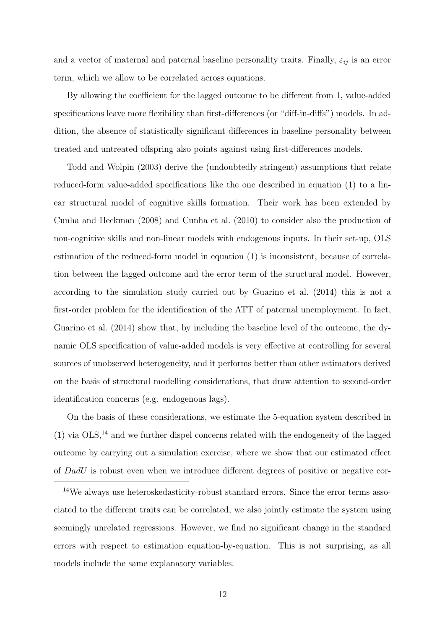and a vector of maternal and paternal baseline personality traits. Finally,  $\varepsilon_{ij}$  is an error term, which we allow to be correlated across equations.

By allowing the coefficient for the lagged outcome to be different from 1, value-added specifications leave more flexibility than first-differences (or "diff-in-diffs") models. In addition, the absence of statistically significant differences in baseline personality between treated and untreated offspring also points against using first-differences models.

Todd and Wolpin (2003) derive the (undoubtedly stringent) assumptions that relate reduced-form value-added specifications like the one described in equation (1) to a linear structural model of cognitive skills formation. Their work has been extended by Cunha and Heckman (2008) and Cunha et al. (2010) to consider also the production of non-cognitive skills and non-linear models with endogenous inputs. In their set-up, OLS estimation of the reduced-form model in equation (1) is inconsistent, because of correlation between the lagged outcome and the error term of the structural model. However, according to the simulation study carried out by Guarino et al. (2014) this is not a first-order problem for the identification of the ATT of paternal unemployment. In fact, Guarino et al. (2014) show that, by including the baseline level of the outcome, the dynamic OLS specification of value-added models is very effective at controlling for several sources of unobserved heterogeneity, and it performs better than other estimators derived on the basis of structural modelling considerations, that draw attention to second-order identification concerns (e.g. endogenous lags).

On the basis of these considerations, we estimate the 5-equation system described in (1) via  $OLS$ ,<sup>14</sup> and we further dispel concerns related with the endogeneity of the lagged outcome by carrying out a simulation exercise, where we show that our estimated effect of DadU is robust even when we introduce different degrees of positive or negative cor-

<sup>14</sup>We always use heteroskedasticity-robust standard errors. Since the error terms associated to the different traits can be correlated, we also jointly estimate the system using seemingly unrelated regressions. However, we find no significant change in the standard errors with respect to estimation equation-by-equation. This is not surprising, as all models include the same explanatory variables.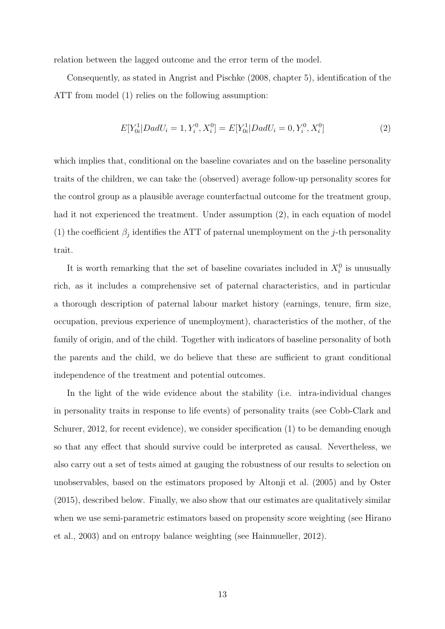relation between the lagged outcome and the error term of the model.

Consequently, as stated in Angrist and Pischke (2008, chapter 5), identification of the ATT from model (1) relies on the following assumption:

$$
E[Y_{0i}^1|DadU_i = 1, Y_i^0, X_i^0] = E[Y_{0i}^1|DadU_i = 0, Y_i^0, X_i^0]
$$
\n(2)

which implies that, conditional on the baseline covariates and on the baseline personality traits of the children, we can take the (observed) average follow-up personality scores for the control group as a plausible average counterfactual outcome for the treatment group, had it not experienced the treatment. Under assumption  $(2)$ , in each equation of model (1) the coefficient  $\beta_j$  identifies the ATT of paternal unemployment on the j-th personality trait.

It is worth remarking that the set of baseline covariates included in  $X_i^0$  is unusually rich, as it includes a comprehensive set of paternal characteristics, and in particular a thorough description of paternal labour market history (earnings, tenure, firm size, occupation, previous experience of unemployment), characteristics of the mother, of the family of origin, and of the child. Together with indicators of baseline personality of both the parents and the child, we do believe that these are sufficient to grant conditional independence of the treatment and potential outcomes.

In the light of the wide evidence about the stability (i.e. intra-individual changes in personality traits in response to life events) of personality traits (see Cobb-Clark and Schurer, 2012, for recent evidence), we consider specification (1) to be demanding enough so that any effect that should survive could be interpreted as causal. Nevertheless, we also carry out a set of tests aimed at gauging the robustness of our results to selection on unobservables, based on the estimators proposed by Altonji et al. (2005) and by Oster (2015), described below. Finally, we also show that our estimates are qualitatively similar when we use semi-parametric estimators based on propensity score weighting (see Hirano et al., 2003) and on entropy balance weighting (see Hainmueller, 2012).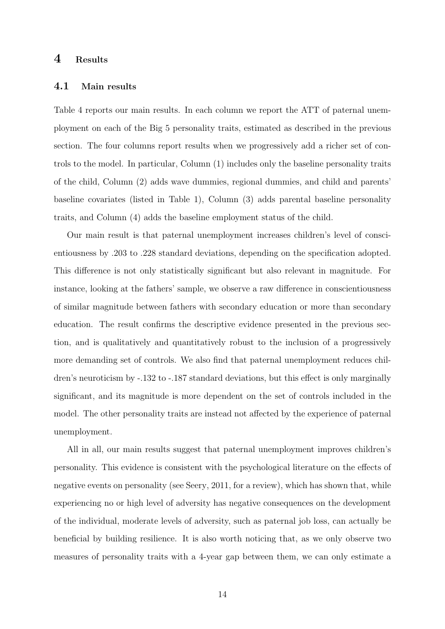### 4 Results

#### 4.1 Main results

Table 4 reports our main results. In each column we report the ATT of paternal unemployment on each of the Big 5 personality traits, estimated as described in the previous section. The four columns report results when we progressively add a richer set of controls to the model. In particular, Column (1) includes only the baseline personality traits of the child, Column (2) adds wave dummies, regional dummies, and child and parents' baseline covariates (listed in Table 1), Column (3) adds parental baseline personality traits, and Column (4) adds the baseline employment status of the child.

Our main result is that paternal unemployment increases children's level of conscientiousness by .203 to .228 standard deviations, depending on the specification adopted. This difference is not only statistically significant but also relevant in magnitude. For instance, looking at the fathers' sample, we observe a raw difference in conscientiousness of similar magnitude between fathers with secondary education or more than secondary education. The result confirms the descriptive evidence presented in the previous section, and is qualitatively and quantitatively robust to the inclusion of a progressively more demanding set of controls. We also find that paternal unemployment reduces children's neuroticism by -.132 to -.187 standard deviations, but this effect is only marginally significant, and its magnitude is more dependent on the set of controls included in the model. The other personality traits are instead not affected by the experience of paternal unemployment.

All in all, our main results suggest that paternal unemployment improves children's personality. This evidence is consistent with the psychological literature on the effects of negative events on personality (see Seery, 2011, for a review), which has shown that, while experiencing no or high level of adversity has negative consequences on the development of the individual, moderate levels of adversity, such as paternal job loss, can actually be beneficial by building resilience. It is also worth noticing that, as we only observe two measures of personality traits with a 4-year gap between them, we can only estimate a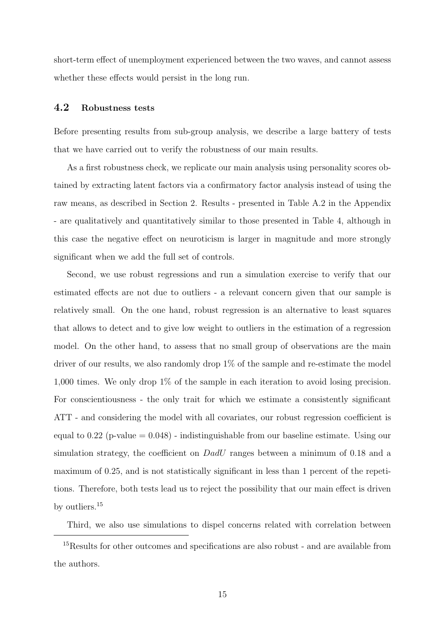short-term effect of unemployment experienced between the two waves, and cannot assess whether these effects would persist in the long run.

#### 4.2 Robustness tests

Before presenting results from sub-group analysis, we describe a large battery of tests that we have carried out to verify the robustness of our main results.

As a first robustness check, we replicate our main analysis using personality scores obtained by extracting latent factors via a confirmatory factor analysis instead of using the raw means, as described in Section 2. Results - presented in Table A.2 in the Appendix - are qualitatively and quantitatively similar to those presented in Table 4, although in this case the negative effect on neuroticism is larger in magnitude and more strongly significant when we add the full set of controls.

Second, we use robust regressions and run a simulation exercise to verify that our estimated effects are not due to outliers - a relevant concern given that our sample is relatively small. On the one hand, robust regression is an alternative to least squares that allows to detect and to give low weight to outliers in the estimation of a regression model. On the other hand, to assess that no small group of observations are the main driver of our results, we also randomly drop 1% of the sample and re-estimate the model 1,000 times. We only drop 1% of the sample in each iteration to avoid losing precision. For conscientiousness - the only trait for which we estimate a consistently significant ATT - and considering the model with all covariates, our robust regression coefficient is equal to  $0.22$  (p-value  $= 0.048$ ) - indistinguishable from our baseline estimate. Using our simulation strategy, the coefficient on DadU ranges between a minimum of 0.18 and a maximum of 0.25, and is not statistically significant in less than 1 percent of the repetitions. Therefore, both tests lead us to reject the possibility that our main effect is driven by outliers.<sup>15</sup>

Third, we also use simulations to dispel concerns related with correlation between

<sup>15</sup>Results for other outcomes and specifications are also robust - and are available from the authors.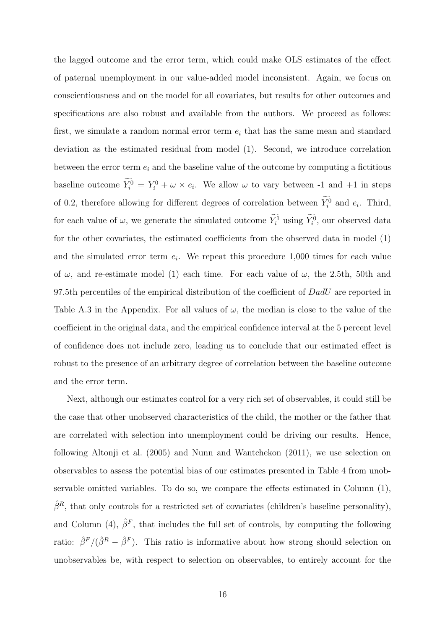the lagged outcome and the error term, which could make OLS estimates of the effect of paternal unemployment in our value-added model inconsistent. Again, we focus on conscientiousness and on the model for all covariates, but results for other outcomes and specifications are also robust and available from the authors. We proceed as follows: first, we simulate a random normal error term  $e_i$  that has the same mean and standard deviation as the estimated residual from model (1). Second, we introduce correlation between the error term  $e_i$  and the baseline value of the outcome by computing a fictitious baseline outcome  $Y_i^0 = Y_i^0 + \omega \times e_i$ . We allow  $\omega$  to vary between -1 and +1 in steps of 0.2, therefore allowing for different degrees of correlation between  $Y_i^0$  and  $e_i$ . Third, for each value of  $\omega$ , we generate the simulated outcome  $Y_i^1$  using  $Y_i^0$ , our observed data for the other covariates, the estimated coefficients from the observed data in model (1) and the simulated error term  $e_i$ . We repeat this procedure 1,000 times for each value of  $\omega$ , and re-estimate model (1) each time. For each value of  $\omega$ , the 2.5th, 50th and 97.5th percentiles of the empirical distribution of the coefficient of  $D \text{ad}U$  are reported in Table A.3 in the Appendix. For all values of  $\omega$ , the median is close to the value of the coefficient in the original data, and the empirical confidence interval at the 5 percent level of confidence does not include zero, leading us to conclude that our estimated effect is robust to the presence of an arbitrary degree of correlation between the baseline outcome and the error term.

Next, although our estimates control for a very rich set of observables, it could still be the case that other unobserved characteristics of the child, the mother or the father that are correlated with selection into unemployment could be driving our results. Hence, following Altonji et al. (2005) and Nunn and Wantchekon (2011), we use selection on observables to assess the potential bias of our estimates presented in Table 4 from unobservable omitted variables. To do so, we compare the effects estimated in Column (1),  $\hat{\beta}^R$ , that only controls for a restricted set of covariates (children's baseline personality), and Column (4),  $\hat{\beta}^F$ , that includes the full set of controls, by computing the following ratio:  $\hat{\beta}^F/(\hat{\beta}^R - \hat{\beta}^F)$ . This ratio is informative about how strong should selection on unobservables be, with respect to selection on observables, to entirely account for the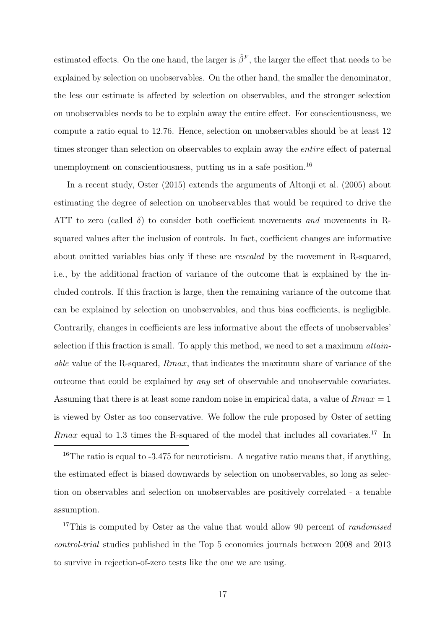estimated effects. On the one hand, the larger is  $\hat{\beta}^F$ , the larger the effect that needs to be explained by selection on unobservables. On the other hand, the smaller the denominator, the less our estimate is affected by selection on observables, and the stronger selection on unobservables needs to be to explain away the entire effect. For conscientiousness, we compute a ratio equal to 12.76. Hence, selection on unobservables should be at least 12 times stronger than selection on observables to explain away the entire effect of paternal unemployment on conscientiousness, putting us in a safe position.<sup>16</sup>

In a recent study, Oster (2015) extends the arguments of Altonji et al. (2005) about estimating the degree of selection on unobservables that would be required to drive the ATT to zero (called  $\delta$ ) to consider both coefficient movements and movements in Rsquared values after the inclusion of controls. In fact, coefficient changes are informative about omitted variables bias only if these are rescaled by the movement in R-squared, i.e., by the additional fraction of variance of the outcome that is explained by the included controls. If this fraction is large, then the remaining variance of the outcome that can be explained by selection on unobservables, and thus bias coefficients, is negligible. Contrarily, changes in coefficients are less informative about the effects of unobservables' selection if this fraction is small. To apply this method, we need to set a maximum attainable value of the R-squared, Rmax, that indicates the maximum share of variance of the outcome that could be explained by any set of observable and unobservable covariates. Assuming that there is at least some random noise in empirical data, a value of  $Rmax = 1$ is viewed by Oster as too conservative. We follow the rule proposed by Oster of setting *Rmax* equal to 1.3 times the R-squared of the model that includes all covariates.<sup>17</sup> In

 $16$ The ratio is equal to -3.475 for neuroticism. A negative ratio means that, if anything, the estimated effect is biased downwards by selection on unobservables, so long as selection on observables and selection on unobservables are positively correlated - a tenable assumption.

<sup>17</sup>This is computed by Oster as the value that would allow 90 percent of *randomised* control-trial studies published in the Top 5 economics journals between 2008 and 2013 to survive in rejection-of-zero tests like the one we are using.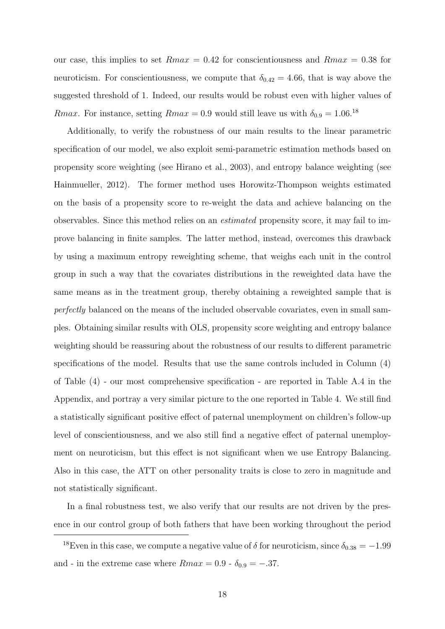our case, this implies to set  $Rmax = 0.42$  for conscientiousness and  $Rmax = 0.38$  for neuroticism. For conscientiousness, we compute that  $\delta_{0.42} = 4.66$ , that is way above the suggested threshold of 1. Indeed, our results would be robust even with higher values of *Rmax.* For instance, setting  $Rmax = 0.9$  would still leave us with  $\delta_{0.9} = 1.06^{18}$ 

Additionally, to verify the robustness of our main results to the linear parametric specification of our model, we also exploit semi-parametric estimation methods based on propensity score weighting (see Hirano et al., 2003), and entropy balance weighting (see Hainmueller, 2012). The former method uses Horowitz-Thompson weights estimated on the basis of a propensity score to re-weight the data and achieve balancing on the observables. Since this method relies on an estimated propensity score, it may fail to improve balancing in finite samples. The latter method, instead, overcomes this drawback by using a maximum entropy reweighting scheme, that weighs each unit in the control group in such a way that the covariates distributions in the reweighted data have the same means as in the treatment group, thereby obtaining a reweighted sample that is perfectly balanced on the means of the included observable covariates, even in small samples. Obtaining similar results with OLS, propensity score weighting and entropy balance weighting should be reassuring about the robustness of our results to different parametric specifications of the model. Results that use the same controls included in Column (4) of Table (4) - our most comprehensive specification - are reported in Table A.4 in the Appendix, and portray a very similar picture to the one reported in Table 4. We still find a statistically significant positive effect of paternal unemployment on children's follow-up level of conscientiousness, and we also still find a negative effect of paternal unemployment on neuroticism, but this effect is not significant when we use Entropy Balancing. Also in this case, the ATT on other personality traits is close to zero in magnitude and not statistically significant.

In a final robustness test, we also verify that our results are not driven by the presence in our control group of both fathers that have been working throughout the period

<sup>&</sup>lt;sup>18</sup>Even in this case, we compute a negative value of  $\delta$  for neuroticism, since  $\delta_{0.38} = -1.99$ and - in the extreme case where  $Rmax = 0.9$  -  $\delta_{0.9} = -.37$ .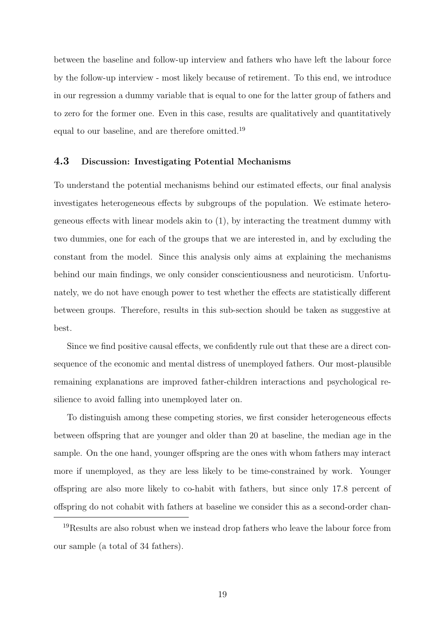between the baseline and follow-up interview and fathers who have left the labour force by the follow-up interview - most likely because of retirement. To this end, we introduce in our regression a dummy variable that is equal to one for the latter group of fathers and to zero for the former one. Even in this case, results are qualitatively and quantitatively equal to our baseline, and are therefore omitted.<sup>19</sup>

#### 4.3 Discussion: Investigating Potential Mechanisms

To understand the potential mechanisms behind our estimated effects, our final analysis investigates heterogeneous effects by subgroups of the population. We estimate heterogeneous effects with linear models akin to (1), by interacting the treatment dummy with two dummies, one for each of the groups that we are interested in, and by excluding the constant from the model. Since this analysis only aims at explaining the mechanisms behind our main findings, we only consider conscientiousness and neuroticism. Unfortunately, we do not have enough power to test whether the effects are statistically different between groups. Therefore, results in this sub-section should be taken as suggestive at best.

Since we find positive causal effects, we confidently rule out that these are a direct consequence of the economic and mental distress of unemployed fathers. Our most-plausible remaining explanations are improved father-children interactions and psychological resilience to avoid falling into unemployed later on.

To distinguish among these competing stories, we first consider heterogeneous effects between offspring that are younger and older than 20 at baseline, the median age in the sample. On the one hand, younger offspring are the ones with whom fathers may interact more if unemployed, as they are less likely to be time-constrained by work. Younger offspring are also more likely to co-habit with fathers, but since only 17.8 percent of offspring do not cohabit with fathers at baseline we consider this as a second-order chan-

<sup>19</sup>Results are also robust when we instead drop fathers who leave the labour force from our sample (a total of 34 fathers).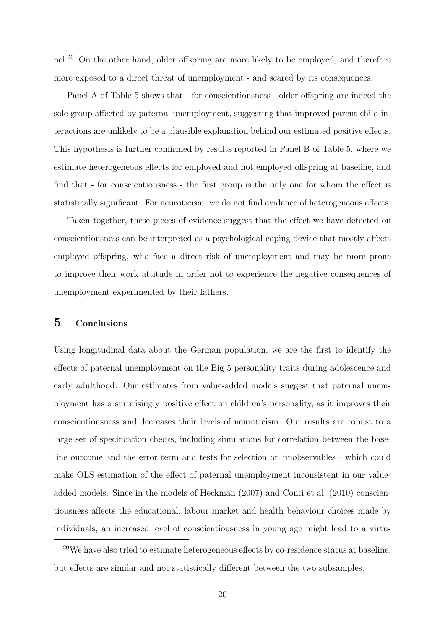nel.<sup>20</sup> On the other hand, older offspring are more likely to be employed, and therefore more exposed to a direct threat of unemployment - and scared by its consequences.

Panel A of Table 5 shows that - for conscientiousness - older offspring are indeed the sole group affected by paternal unemployment, suggesting that improved parent-child interactions are unlikely to be a plausible explanation behind our estimated positive effects. This hypothesis is further confirmed by results reported in Panel B of Table 5, where we estimate heterogeneous effects for employed and not employed offspring at baseline, and find that - for conscientiousness - the first group is the only one for whom the effect is statistically significant. For neuroticism, we do not find evidence of heterogeneous effects.

Taken together, these pieces of evidence suggest that the effect we have detected on conscientiousness can be interpreted as a psychological coping device that mostly affects employed offspring, who face a direct risk of unemployment and may be more prone to improve their work attitude in order not to experience the negative consequences of unemployment experimented by their fathers.

### 5 Conclusions

Using longitudinal data about the German population, we are the first to identify the effects of paternal unemployment on the Big 5 personality traits during adolescence and early adulthood. Our estimates from value-added models suggest that paternal unemployment has a surprisingly positive effect on children's personality, as it improves their conscientiousness and decreases their levels of neuroticism. Our results are robust to a large set of specification checks, including simulations for correlation between the baseline outcome and the error term and tests for selection on unobservables - which could make OLS estimation of the effect of paternal unemployment inconsistent in our valueadded models. Since in the models of Heckman (2007) and Conti et al. (2010) conscientiousness affects the educational, labour market and health behaviour choices made by individuals, an increased level of conscientiousness in young age might lead to a virtu-

<sup>&</sup>lt;sup>20</sup>We have also tried to estimate heterogeneous effects by co-residence status at baseline, but effects are similar and not statistically different between the two subsamples.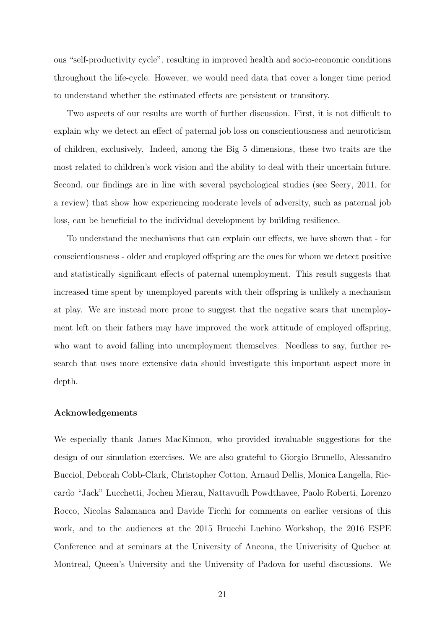ous "self-productivity cycle", resulting in improved health and socio-economic conditions throughout the life-cycle. However, we would need data that cover a longer time period to understand whether the estimated effects are persistent or transitory.

Two aspects of our results are worth of further discussion. First, it is not difficult to explain why we detect an effect of paternal job loss on conscientiousness and neuroticism of children, exclusively. Indeed, among the Big 5 dimensions, these two traits are the most related to children's work vision and the ability to deal with their uncertain future. Second, our findings are in line with several psychological studies (see Seery, 2011, for a review) that show how experiencing moderate levels of adversity, such as paternal job loss, can be beneficial to the individual development by building resilience.

To understand the mechanisms that can explain our effects, we have shown that - for conscientiousness - older and employed offspring are the ones for whom we detect positive and statistically significant effects of paternal unemployment. This result suggests that increased time spent by unemployed parents with their offspring is unlikely a mechanism at play. We are instead more prone to suggest that the negative scars that unemployment left on their fathers may have improved the work attitude of employed offspring, who want to avoid falling into unemployment themselves. Needless to say, further research that uses more extensive data should investigate this important aspect more in depth.

#### Acknowledgements

We especially thank James MacKinnon, who provided invaluable suggestions for the design of our simulation exercises. We are also grateful to Giorgio Brunello, Alessandro Bucciol, Deborah Cobb-Clark, Christopher Cotton, Arnaud Dellis, Monica Langella, Riccardo "Jack" Lucchetti, Jochen Mierau, Nattavudh Powdthavee, Paolo Roberti, Lorenzo Rocco, Nicolas Salamanca and Davide Ticchi for comments on earlier versions of this work, and to the audiences at the 2015 Brucchi Luchino Workshop, the 2016 ESPE Conference and at seminars at the University of Ancona, the Univerisity of Quebec at Montreal, Queen's University and the University of Padova for useful discussions. We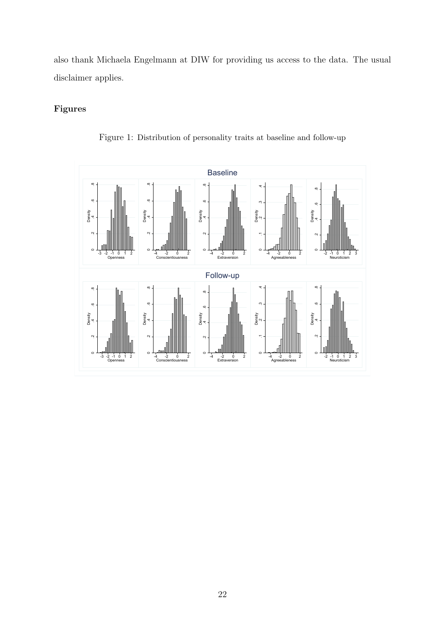also thank Michaela Engelmann at DIW for providing us access to the data. The usual disclaimer applies.

## Figures



Figure 1: Distribution of personality traits at baseline and follow-up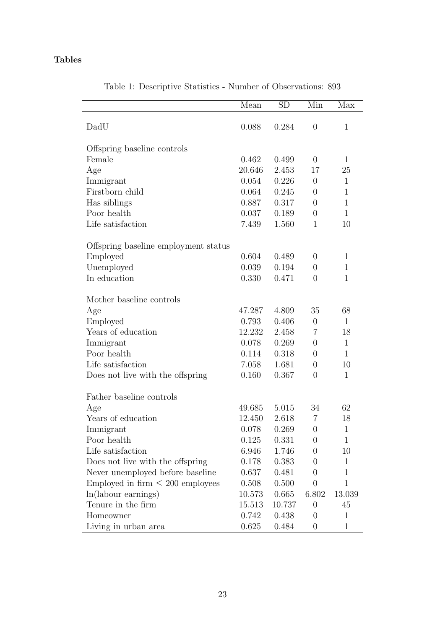## Tables

| DadU<br>0.088<br>0.284<br>$\overline{0}$<br>$\mathbf{1}$<br>Offspring baseline controls<br>Female<br>0.462<br>0.499<br>$\overline{0}$<br>$\mathbf{1}$<br>20.646<br>2.453<br>17<br>Age<br>25<br>0.054<br>0.226<br>Immigrant<br>$\overline{0}$<br>$\mathbf{1}$<br>Firstborn child<br>0.245<br>0.064<br>$\overline{0}$<br>$\mathbf 1$<br>Has siblings<br>0.887<br>0.317<br>$\mathbf{1}$<br>$\overline{0}$<br>Poor health<br>0.037<br>0.189<br>$\overline{0}$<br>$\mathbf{1}$<br>Life satisfaction<br>7.439<br>1.560<br>$\mathbf{1}$<br>10<br>Offspring baseline employment status<br>0.604<br>Employed<br>0.489<br>$\overline{0}$<br>$\mathbf 1$<br>Unemployed<br>0.039<br>0.194<br>$\overline{0}$<br>$\mathbf{1}$<br>In education<br>0.330<br>0.471<br>$\overline{0}$<br>$\mathbf{1}$<br>Mother baseline controls<br>Age<br>47.287<br>4.809<br>35<br>68<br>0.406<br>Employed<br>0.793<br>$\mathbf{1}$<br>$\overline{0}$<br>Years of education<br>12.232<br>2.458<br>7<br>18<br>Immigrant<br>0.078<br>0.269<br>$\mathbf{1}$<br>$\overline{0}$<br>Poor health<br>0.114<br>0.318<br>$\mathbf{1}$<br>$\overline{0}$<br>Life satisfaction<br>7.058<br>1.681<br>10<br>$\overline{0}$<br>0.160<br>0.367<br>Does not live with the offspring<br>$\mathbf{1}$<br>$\overline{0}$ |
|----------------------------------------------------------------------------------------------------------------------------------------------------------------------------------------------------------------------------------------------------------------------------------------------------------------------------------------------------------------------------------------------------------------------------------------------------------------------------------------------------------------------------------------------------------------------------------------------------------------------------------------------------------------------------------------------------------------------------------------------------------------------------------------------------------------------------------------------------------------------------------------------------------------------------------------------------------------------------------------------------------------------------------------------------------------------------------------------------------------------------------------------------------------------------------------------------------------------------------------------------------------------|
|                                                                                                                                                                                                                                                                                                                                                                                                                                                                                                                                                                                                                                                                                                                                                                                                                                                                                                                                                                                                                                                                                                                                                                                                                                                                      |
|                                                                                                                                                                                                                                                                                                                                                                                                                                                                                                                                                                                                                                                                                                                                                                                                                                                                                                                                                                                                                                                                                                                                                                                                                                                                      |
|                                                                                                                                                                                                                                                                                                                                                                                                                                                                                                                                                                                                                                                                                                                                                                                                                                                                                                                                                                                                                                                                                                                                                                                                                                                                      |
|                                                                                                                                                                                                                                                                                                                                                                                                                                                                                                                                                                                                                                                                                                                                                                                                                                                                                                                                                                                                                                                                                                                                                                                                                                                                      |
|                                                                                                                                                                                                                                                                                                                                                                                                                                                                                                                                                                                                                                                                                                                                                                                                                                                                                                                                                                                                                                                                                                                                                                                                                                                                      |
|                                                                                                                                                                                                                                                                                                                                                                                                                                                                                                                                                                                                                                                                                                                                                                                                                                                                                                                                                                                                                                                                                                                                                                                                                                                                      |
|                                                                                                                                                                                                                                                                                                                                                                                                                                                                                                                                                                                                                                                                                                                                                                                                                                                                                                                                                                                                                                                                                                                                                                                                                                                                      |
|                                                                                                                                                                                                                                                                                                                                                                                                                                                                                                                                                                                                                                                                                                                                                                                                                                                                                                                                                                                                                                                                                                                                                                                                                                                                      |
|                                                                                                                                                                                                                                                                                                                                                                                                                                                                                                                                                                                                                                                                                                                                                                                                                                                                                                                                                                                                                                                                                                                                                                                                                                                                      |
|                                                                                                                                                                                                                                                                                                                                                                                                                                                                                                                                                                                                                                                                                                                                                                                                                                                                                                                                                                                                                                                                                                                                                                                                                                                                      |
|                                                                                                                                                                                                                                                                                                                                                                                                                                                                                                                                                                                                                                                                                                                                                                                                                                                                                                                                                                                                                                                                                                                                                                                                                                                                      |
|                                                                                                                                                                                                                                                                                                                                                                                                                                                                                                                                                                                                                                                                                                                                                                                                                                                                                                                                                                                                                                                                                                                                                                                                                                                                      |
|                                                                                                                                                                                                                                                                                                                                                                                                                                                                                                                                                                                                                                                                                                                                                                                                                                                                                                                                                                                                                                                                                                                                                                                                                                                                      |
|                                                                                                                                                                                                                                                                                                                                                                                                                                                                                                                                                                                                                                                                                                                                                                                                                                                                                                                                                                                                                                                                                                                                                                                                                                                                      |
|                                                                                                                                                                                                                                                                                                                                                                                                                                                                                                                                                                                                                                                                                                                                                                                                                                                                                                                                                                                                                                                                                                                                                                                                                                                                      |
|                                                                                                                                                                                                                                                                                                                                                                                                                                                                                                                                                                                                                                                                                                                                                                                                                                                                                                                                                                                                                                                                                                                                                                                                                                                                      |
|                                                                                                                                                                                                                                                                                                                                                                                                                                                                                                                                                                                                                                                                                                                                                                                                                                                                                                                                                                                                                                                                                                                                                                                                                                                                      |
|                                                                                                                                                                                                                                                                                                                                                                                                                                                                                                                                                                                                                                                                                                                                                                                                                                                                                                                                                                                                                                                                                                                                                                                                                                                                      |
|                                                                                                                                                                                                                                                                                                                                                                                                                                                                                                                                                                                                                                                                                                                                                                                                                                                                                                                                                                                                                                                                                                                                                                                                                                                                      |
|                                                                                                                                                                                                                                                                                                                                                                                                                                                                                                                                                                                                                                                                                                                                                                                                                                                                                                                                                                                                                                                                                                                                                                                                                                                                      |
|                                                                                                                                                                                                                                                                                                                                                                                                                                                                                                                                                                                                                                                                                                                                                                                                                                                                                                                                                                                                                                                                                                                                                                                                                                                                      |
|                                                                                                                                                                                                                                                                                                                                                                                                                                                                                                                                                                                                                                                                                                                                                                                                                                                                                                                                                                                                                                                                                                                                                                                                                                                                      |
|                                                                                                                                                                                                                                                                                                                                                                                                                                                                                                                                                                                                                                                                                                                                                                                                                                                                                                                                                                                                                                                                                                                                                                                                                                                                      |
|                                                                                                                                                                                                                                                                                                                                                                                                                                                                                                                                                                                                                                                                                                                                                                                                                                                                                                                                                                                                                                                                                                                                                                                                                                                                      |
| Father baseline controls                                                                                                                                                                                                                                                                                                                                                                                                                                                                                                                                                                                                                                                                                                                                                                                                                                                                                                                                                                                                                                                                                                                                                                                                                                             |
| 49.685<br>5.015<br>34<br>62                                                                                                                                                                                                                                                                                                                                                                                                                                                                                                                                                                                                                                                                                                                                                                                                                                                                                                                                                                                                                                                                                                                                                                                                                                          |
| Age<br>$\overline{7}$<br>Years of education<br>18<br>12.450<br>2.618                                                                                                                                                                                                                                                                                                                                                                                                                                                                                                                                                                                                                                                                                                                                                                                                                                                                                                                                                                                                                                                                                                                                                                                                 |
| 0.078<br>0.269<br>$\mathbf{1}$<br>Immigrant<br>$\boldsymbol{0}$                                                                                                                                                                                                                                                                                                                                                                                                                                                                                                                                                                                                                                                                                                                                                                                                                                                                                                                                                                                                                                                                                                                                                                                                      |
| Poor health<br>0.125<br>0.331<br>$\overline{0}$<br>1                                                                                                                                                                                                                                                                                                                                                                                                                                                                                                                                                                                                                                                                                                                                                                                                                                                                                                                                                                                                                                                                                                                                                                                                                 |
| Life satisfaction<br>6.946<br>1.746<br>$\overline{0}$<br>10                                                                                                                                                                                                                                                                                                                                                                                                                                                                                                                                                                                                                                                                                                                                                                                                                                                                                                                                                                                                                                                                                                                                                                                                          |
| Does not live with the offspring<br>0.178<br>0.383<br>$\mathbf{1}$<br>0                                                                                                                                                                                                                                                                                                                                                                                                                                                                                                                                                                                                                                                                                                                                                                                                                                                                                                                                                                                                                                                                                                                                                                                              |
| Never unemployed before baseline<br>0.637<br>0.481<br>1<br>0                                                                                                                                                                                                                                                                                                                                                                                                                                                                                                                                                                                                                                                                                                                                                                                                                                                                                                                                                                                                                                                                                                                                                                                                         |
| Employed in firm $\leq 200$ employees<br>0.508<br>0.500<br>$\overline{0}$<br>$\mathbf 1$                                                                                                                                                                                                                                                                                                                                                                                                                                                                                                                                                                                                                                                                                                                                                                                                                                                                                                                                                                                                                                                                                                                                                                             |
| 6.802<br>ln(labour earnings)<br>10.573<br>0.665<br>13.039                                                                                                                                                                                                                                                                                                                                                                                                                                                                                                                                                                                                                                                                                                                                                                                                                                                                                                                                                                                                                                                                                                                                                                                                            |
| Tenure in the firm<br>$\boldsymbol{0}$<br>45<br>15.513<br>10.737                                                                                                                                                                                                                                                                                                                                                                                                                                                                                                                                                                                                                                                                                                                                                                                                                                                                                                                                                                                                                                                                                                                                                                                                     |
| Homeowner<br>0.742<br>0.438<br>$\overline{0}$<br>$\mathbf{1}$                                                                                                                                                                                                                                                                                                                                                                                                                                                                                                                                                                                                                                                                                                                                                                                                                                                                                                                                                                                                                                                                                                                                                                                                        |
| Living in urban area<br>0.484<br>0.625<br>$\boldsymbol{0}$<br>$\mathbf 1$                                                                                                                                                                                                                                                                                                                                                                                                                                                                                                                                                                                                                                                                                                                                                                                                                                                                                                                                                                                                                                                                                                                                                                                            |

Table 1: Descriptive Statistics - Number of Observations: 893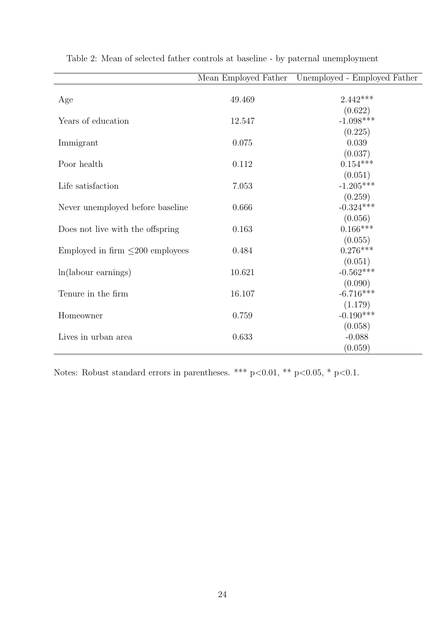|                                       | Mean Employed Father | Unemployed - Employed Father |
|---------------------------------------|----------------------|------------------------------|
|                                       |                      |                              |
| Age                                   | 49.469               | $2.442***$                   |
|                                       |                      | (0.622)                      |
| Years of education                    | 12.547               | $-1.098***$                  |
|                                       |                      | (0.225)                      |
| Immigrant                             | 0.075                | 0.039                        |
|                                       |                      | (0.037)                      |
| Poor health                           | 0.112                | $0.154***$                   |
|                                       |                      | (0.051)                      |
| Life satisfaction                     | 7.053                | $-1.205***$                  |
|                                       |                      | (0.259)                      |
| Never unemployed before baseline      | 0.666                | $-0.324***$                  |
|                                       |                      | (0.056)                      |
| Does not live with the offspring      | 0.163                | $0.166***$                   |
|                                       |                      | (0.055)                      |
| Employed in firm $\leq$ 200 employees | 0.484                | $0.276***$                   |
|                                       |                      | (0.051)                      |
| $ln(labour\ earnings)$                | 10.621               | $-0.562***$                  |
|                                       |                      | (0.090)                      |
| Tenure in the firm                    | 16.107               | $-6.716***$                  |
|                                       |                      | (1.179)                      |
| Homeowner                             | 0.759                | $-0.190***$                  |
|                                       |                      | (0.058)                      |
| Lives in urban area                   | 0.633                | $-0.088$                     |
|                                       |                      |                              |
|                                       |                      | (0.059)                      |

Table 2: Mean of selected father controls at baseline - by paternal unemployment

Notes: Robust standard errors in parentheses. \*\*\* p<0.01, \*\* p<0.05, \* p<0.1.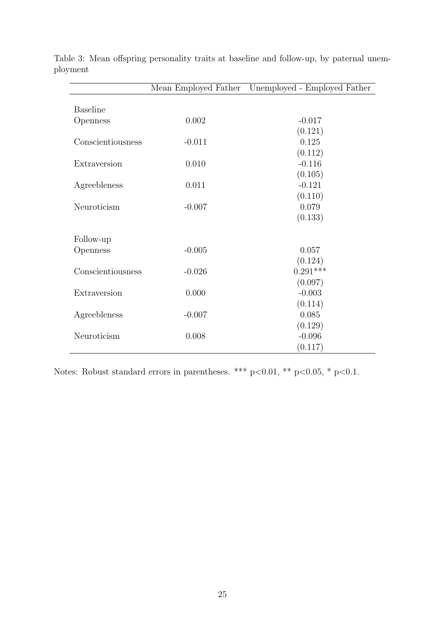|                   | Mean Employed Father | Unemployed - Employed Father |
|-------------------|----------------------|------------------------------|
|                   |                      |                              |
| <b>Baseline</b>   |                      |                              |
| Openness          | 0.002                | $-0.017$                     |
|                   |                      | (0.121)                      |
| Conscientiousness | $-0.011$             | 0.125                        |
|                   |                      | (0.112)                      |
| Extraversion      | 0.010                | $-0.116$                     |
|                   |                      | (0.105)                      |
| Agreebleness      | 0.011                | $-0.121$                     |
|                   |                      | (0.110)                      |
| Neuroticism       | $-0.007$             | 0.079                        |
|                   |                      | (0.133)                      |
|                   |                      |                              |
| Follow-up         |                      |                              |
| Openness          | $-0.005$             | 0.057                        |
|                   |                      | (0.124)                      |
| Conscientiousness | $-0.026$             | $0.291***$                   |
|                   |                      | (0.097)                      |
| Extraversion      | 0.000                | $-0.003$                     |
|                   |                      | (0.114)                      |
| Agreebleness      | $-0.007$             | 0.085                        |
|                   |                      | (0.129)                      |
| Neuroticism       | 0.008                | $-0.096$                     |
|                   |                      | (0.117)                      |

Table 3: Mean offspring personality traits at baseline and follow-up, by paternal unemployment

Notes: Robust standard errors in parentheses. \*\*\* p<0.01, \*\* p<0.05, \* p<0.1.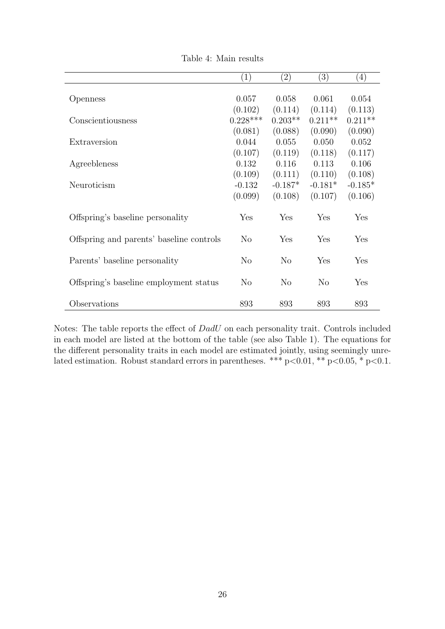|                                          | $\left( 1\right)$ | $\left( 2\right)$ | (3)       | (4)       |  |
|------------------------------------------|-------------------|-------------------|-----------|-----------|--|
| Openness                                 | 0.057             | 0.058             | 0.061     | 0.054     |  |
|                                          | (0.102)           | (0.114)           | (0.114)   | (0.113)   |  |
| Conscientiousness                        | $0.228***$        | $0.203**$         | $0.211**$ | $0.211**$ |  |
|                                          | (0.081)           | (0.088)           | (0.090)   | (0.090)   |  |
| Extraversion                             | 0.044             | 0.055             | 0.050     | 0.052     |  |
|                                          | (0.107)           | (0.119)           | (0.118)   | (0.117)   |  |
| Agreebleness                             | 0.132             | 0.116             | 0.113     | 0.106     |  |
|                                          | (0.109)           | (0.111)           | (0.110)   | (0.108)   |  |
| Neuroticism                              | $-0.132$          | $-0.187*$         | $-0.181*$ | $-0.185*$ |  |
|                                          | (0.099)           | (0.108)           | (0.107)   | (0.106)   |  |
| Offspring's baseline personality         | Yes               | Yes               | Yes       | Yes       |  |
| Offspring and parents' baseline controls | $\rm No$          | Yes               | Yes       | Yes       |  |
| Parents' baseline personality            | N <sub>o</sub>    | No                | Yes       | Yes       |  |
| Offspring's baseline employment status   | N <sub>o</sub>    | $\rm No$          | $\rm No$  | Yes       |  |
| Observations                             | 893               | 893               | 893       | 893       |  |

Table 4: Main results

Notes: The table reports the effect of DadU on each personality trait. Controls included in each model are listed at the bottom of the table (see also Table 1). The equations for the different personality traits in each model are estimated jointly, using seemingly unrelated estimation. Robust standard errors in parentheses. \*\*\*  $p<0.01$ , \*\*  $p<0.05$ , \*  $p<0.1$ .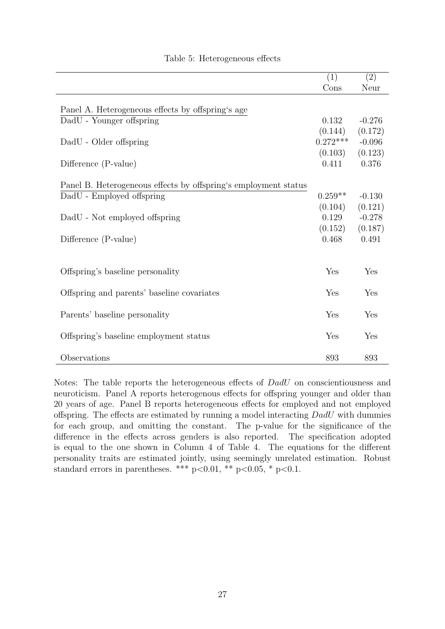|                                                                 | (1)        | (2)      |
|-----------------------------------------------------------------|------------|----------|
|                                                                 | Cons       | Neur     |
|                                                                 |            |          |
| Panel A. Heterogeneous effects by offspring's age               |            |          |
| DadU - Younger offspring                                        | 0.132      | $-0.276$ |
|                                                                 | (0.144)    | (0.172)  |
| DadU - Older offspring                                          | $0.272***$ | $-0.096$ |
|                                                                 | (0.103)    | (0.123)  |
| Difference (P-value)                                            | 0.411      | 0.376    |
|                                                                 |            |          |
| Panel B. Heterogeneous effects by offspring's employment status |            |          |
| DadU - Employed offspring                                       | $0.259**$  | $-0.130$ |
|                                                                 | (0.104)    | (0.121)  |
| DadU - Not employed offspring                                   | 0.129      | $-0.278$ |
|                                                                 | (0.152)    | (0.187)  |
| Difference (P-value)                                            | 0.468      | 0.491    |
|                                                                 |            |          |
|                                                                 |            |          |
| Offspring's baseline personality                                | Yes        | Yes      |
|                                                                 |            |          |
| Offspring and parents' baseline covariates                      | Yes        | Yes      |
|                                                                 |            |          |
| Parents' baseline personality                                   | Yes        | Yes      |
|                                                                 |            |          |
| Offspring's baseline employment status                          | Yes        | Yes      |
|                                                                 |            |          |
| Observations                                                    | 893        | 893      |
|                                                                 |            |          |

### Table 5: Heterogeneous effects

Notes: The table reports the heterogeneous effects of DadU on conscientiousness and neuroticism. Panel A reports heterogenous effects for offspring younger and older than 20 years of age. Panel B reports heterogeneous effects for employed and not employed offspring. The effects are estimated by running a model interacting DadU with dummies for each group, and omitting the constant. The p-value for the significance of the difference in the effects across genders is also reported. The specification adopted is equal to the one shown in Column 4 of Table 4. The equations for the different personality traits are estimated jointly, using seemingly unrelated estimation. Robust standard errors in parentheses. \*\*\* p<0.01, \*\* p<0.05, \* p<0.1.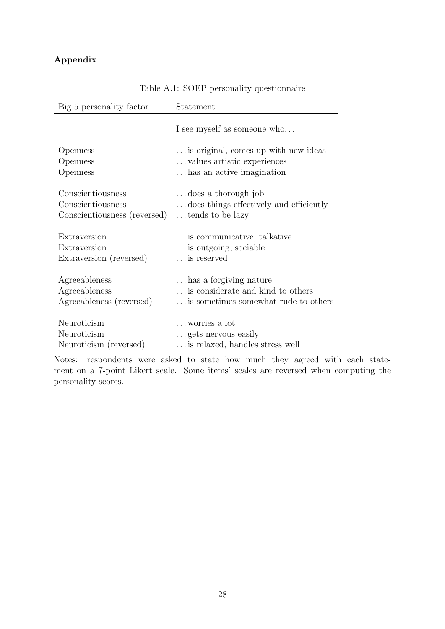## Appendix

| Big 5 personality factor     | Statement                               |
|------------------------------|-----------------------------------------|
|                              | I see myself as someone who             |
| Openness                     | is original, comes up with new ideas    |
| Openness                     | values artistic experiences             |
| Openness                     | has an active imagination               |
| Conscientiousness            | does a thorough job                     |
| Conscientiousness            | does things effectively and efficiently |
| Conscientiousness (reversed) | tends to be lazy                        |
| Extraversion                 | is communicative, talkative             |
| Extraversion                 | is outgoing, sociable                   |
| Extraversion (reversed)      | is reserved                             |
| Agreeableness                | has a forgiving nature                  |
| Agreeableness                | is considerate and kind to others       |
| Agreeableness (reversed)     | is sometimes somewhat rude to others    |
| Neuroticism                  | worries a lot                           |
| Neuroticism                  | gets nervous easily                     |
| Neuroticism (reversed)       | is relaxed, handles stress well         |

Table A.1: SOEP personality questionnaire

Notes: respondents were asked to state how much they agreed with each statement on a 7-point Likert scale. Some items' scales are reversed when computing the personality scores.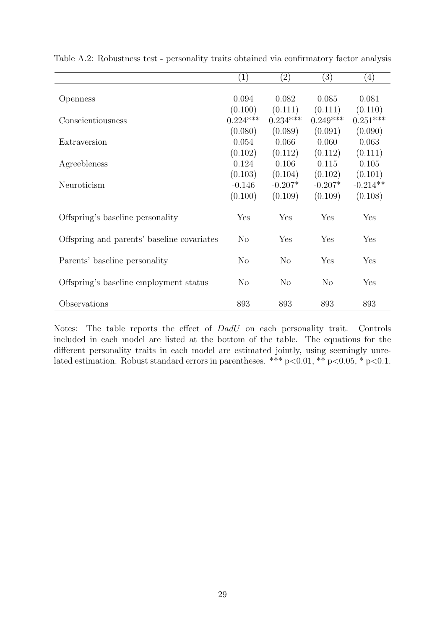|                                            | (1)        | $^{(2)}$   | $\left( 3\right)$ | $\left( 4\right)$ |
|--------------------------------------------|------------|------------|-------------------|-------------------|
|                                            |            |            |                   |                   |
| Openness                                   | 0.094      | 0.082      | 0.085             | 0.081             |
|                                            | (0.100)    | (0.111)    | (0.111)           | (0.110)           |
| Conscientiousness                          | $0.224***$ | $0.234***$ | $0.249***$        | $0.251***$        |
|                                            | (0.080)    | (0.089)    | (0.091)           | (0.090)           |
| Extraversion                               | 0.054      | 0.066      | 0.060             | 0.063             |
|                                            | (0.102)    | (0.112)    | (0.112)           | (0.111)           |
| Agreebleness                               | 0.124      | 0.106      | 0.115             | 0.105             |
|                                            | (0.103)    | (0.104)    | (0.102)           | (0.101)           |
| Neuroticism                                | $-0.146$   | $-0.207*$  | $-0.207*$         | $-0.214**$        |
|                                            | (0.100)    | (0.109)    | (0.109)           | (0.108)           |
| Offspring's baseline personality           | Yes        | Yes        | Yes               | Yes               |
| Offspring and parents' baseline covariates | $\rm No$   | Yes        | Yes               | Yes               |
| Parents' baseline personality              | $\rm No$   | $\rm No$   | Yes               | Yes               |
| Offspring's baseline employment status     | $\rm No$   | $\rm No$   | $\rm No$          | Yes               |
| Observations                               | 893        | 893        | 893               | 893               |

Table A.2: Robustness test - personality traits obtained via confirmatory factor analysis

Notes: The table reports the effect of DadU on each personality trait. Controls included in each model are listed at the bottom of the table. The equations for the different personality traits in each model are estimated jointly, using seemingly unrelated estimation. Robust standard errors in parentheses. \*\*\* p<0.01, \*\* p<0.05, \* p<0.1.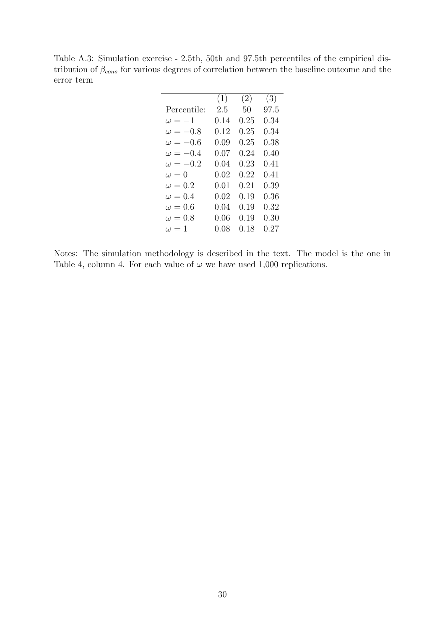Table A.3: Simulation exercise - 2.5th, 50th and 97.5th percentiles of the empirical distribution of  $\beta_{cons}$  for various degrees of correlation between the baseline outcome and the error term

|                 | (1)      | (2)      | (3)        |
|-----------------|----------|----------|------------|
| Percentile:     | 2.5      | 50       | 97.5       |
| $\omega = -1$   | 0.14     | 0.25     | 0.34       |
| $\omega = -0.8$ | $0.12\,$ | $0.25\,$ | 0.34       |
| $\omega = -0.6$ | 0.09     | $0.25\,$ | $0.38\,$   |
| $\omega = -0.4$ | 0.07     | 0.24     | 0.40       |
| $\omega = -0.2$ | 0.04     | $0.23\,$ | 0.41       |
| $\omega = 0$    | $0.02\,$ | 0.22     | 0.41       |
| $\omega = 0.2$  | 0.01     | 0.21     | 0.39       |
| $\omega = 0.4$  | 0.02     | 0.19     | 0.36       |
| $\omega = 0.6$  | 0.04     | 0.19     | $\rm 0.32$ |
| $\omega = 0.8$  | 0.06     | 0.19     | $0.30\,$   |
| $\omega = 1$    | 0.08     | 0.18     | 0.27       |

Notes: The simulation methodology is described in the text. The model is the one in Table 4, column 4. For each value of  $\omega$  we have used 1,000 replications.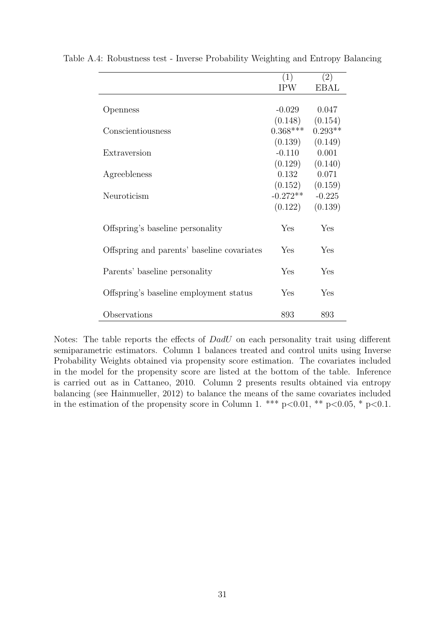|                                            | (1)        | (2)         |
|--------------------------------------------|------------|-------------|
|                                            | <b>IPW</b> | <b>EBAL</b> |
|                                            |            |             |
| Openness                                   | $-0.029$   | 0.047       |
|                                            | (0.148)    | (0.154)     |
| Conscientiousness                          | $0.368***$ | $0.293**$   |
|                                            | (0.139)    | (0.149)     |
| Extraversion                               | $-0.110$   | 0.001       |
|                                            | (0.129)    | (0.140)     |
| Agreebleness                               | 0.132      | 0.071       |
|                                            | (0.152)    | (0.159)     |
| Neuroticism                                | $-0.272**$ | $-0.225$    |
|                                            | (0.122)    | (0.139)     |
| Offspring's baseline personality           | Yes        | Yes         |
|                                            |            |             |
| Offspring and parents' baseline covariates | Yes        | Yes         |
|                                            |            |             |
| Parents' baseline personality              | Yes        | Yes         |
| Offspring's baseline employment status     | Yes        | Yes         |
|                                            |            |             |
| Observations                               | 893        | 893         |

Table A.4: Robustness test - Inverse Probability Weighting and Entropy Balancing

Notes: The table reports the effects of *DadU* on each personality trait using different semiparametric estimators. Column 1 balances treated and control units using Inverse Probability Weights obtained via propensity score estimation. The covariates included in the model for the propensity score are listed at the bottom of the table. Inference is carried out as in Cattaneo, 2010. Column 2 presents results obtained via entropy balancing (see Hainmueller, 2012) to balance the means of the same covariates included in the estimation of the propensity score in Column 1. \*\*\*  $p<0.01$ , \*\*  $p<0.05$ , \*  $p<0.1$ .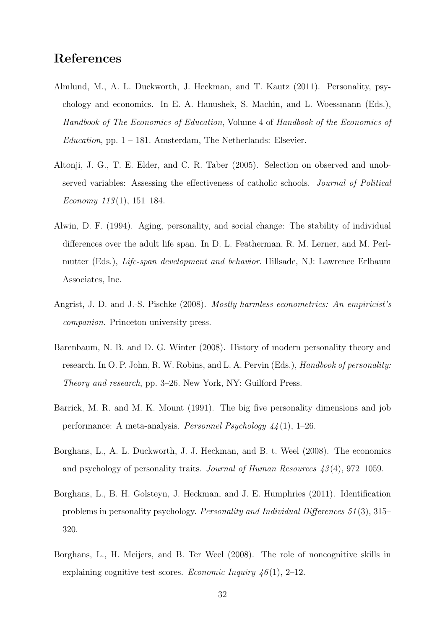# References

- Almlund, M., A. L. Duckworth, J. Heckman, and T. Kautz (2011). Personality, psychology and economics. In E. A. Hanushek, S. Machin, and L. Woessmann (Eds.), Handbook of The Economics of Education, Volume 4 of Handbook of the Economics of Education, pp.  $1 - 181$ . Amsterdam, The Netherlands: Elsevier.
- Altonji, J. G., T. E. Elder, and C. R. Taber (2005). Selection on observed and unobserved variables: Assessing the effectiveness of catholic schools. Journal of Political Economy  $113(1)$ ,  $151-184$ .
- Alwin, D. F. (1994). Aging, personality, and social change: The stability of individual differences over the adult life span. In D. L. Featherman, R. M. Lerner, and M. Perlmutter (Eds.), Life-span development and behavior. Hillsade, NJ: Lawrence Erlbaum Associates, Inc.
- Angrist, J. D. and J.-S. Pischke (2008). Mostly harmless econometrics: An empiricist's companion. Princeton university press.
- Barenbaum, N. B. and D. G. Winter (2008). History of modern personality theory and research. In O. P. John, R. W. Robins, and L. A. Pervin (Eds.), *Handbook of personality:* Theory and research, pp. 3–26. New York, NY: Guilford Press.
- Barrick, M. R. and M. K. Mount (1991). The big five personality dimensions and job performance: A meta-analysis. Personnel Psychology 44 (1), 1–26.
- Borghans, L., A. L. Duckworth, J. J. Heckman, and B. t. Weel (2008). The economics and psychology of personality traits. Journal of Human Resources  $\mu$  43(4), 972–1059.
- Borghans, L., B. H. Golsteyn, J. Heckman, and J. E. Humphries (2011). Identification problems in personality psychology. Personality and Individual Differences 51 (3), 315– 320.
- Borghans, L., H. Meijers, and B. Ter Weel (2008). The role of noncognitive skills in explaining cognitive test scores. Economic Inquiry  $46(1)$ , 2–12.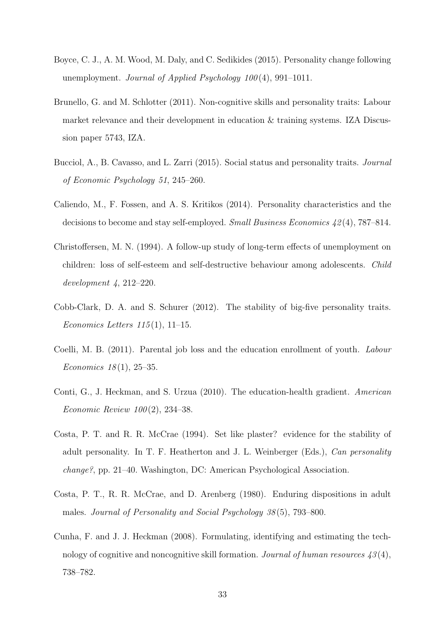- Boyce, C. J., A. M. Wood, M. Daly, and C. Sedikides (2015). Personality change following unemployment. Journal of Applied Psychology  $100(4)$ , 991-1011.
- Brunello, G. and M. Schlotter (2011). Non-cognitive skills and personality traits: Labour market relevance and their development in education & training systems. IZA Discussion paper 5743, IZA.
- Bucciol, A., B. Cavasso, and L. Zarri (2015). Social status and personality traits. Journal of Economic Psychology 51, 245–260.
- Caliendo, M., F. Fossen, and A. S. Kritikos (2014). Personality characteristics and the decisions to become and stay self-employed. Small Business Economics 42 (4), 787–814.
- Christoffersen, M. N. (1994). A follow-up study of long-term effects of unemployment on children: loss of self-esteem and self-destructive behaviour among adolescents. Child development 4, 212–220.
- Cobb-Clark, D. A. and S. Schurer (2012). The stability of big-five personality traits. Economics Letters  $115(1)$ , 11-15.
- Coelli, M. B. (2011). Parental job loss and the education enrollment of youth. Labour *Economics* 18(1), 25–35.
- Conti, G., J. Heckman, and S. Urzua (2010). The education-health gradient. American *Economic Review 100* $(2)$ , 234–38.
- Costa, P. T. and R. R. McCrae (1994). Set like plaster? evidence for the stability of adult personality. In T. F. Heatherton and J. L. Weinberger (Eds.), Can personality change?, pp. 21–40. Washington, DC: American Psychological Association.
- Costa, P. T., R. R. McCrae, and D. Arenberg (1980). Enduring dispositions in adult males. Journal of Personality and Social Psychology 38 (5), 793–800.
- Cunha, F. and J. J. Heckman (2008). Formulating, identifying and estimating the technology of cognitive and noncognitive skill formation. Journal of human resources  $43(4)$ , 738–782.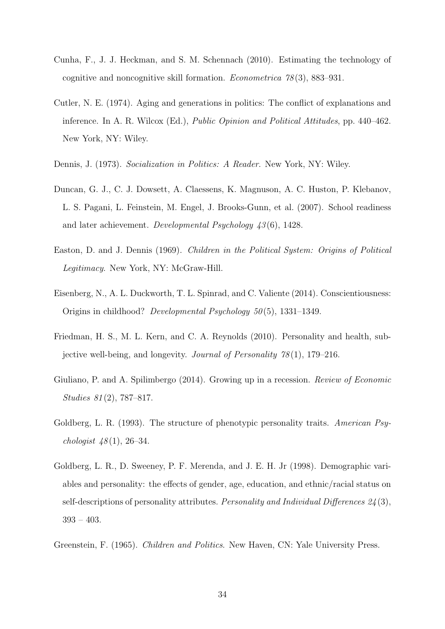- Cunha, F., J. J. Heckman, and S. M. Schennach (2010). Estimating the technology of cognitive and noncognitive skill formation. *Econometrica*  $78(3)$ , 883–931.
- Cutler, N. E. (1974). Aging and generations in politics: The conflict of explanations and inference. In A. R. Wilcox (Ed.), Public Opinion and Political Attitudes, pp. 440–462. New York, NY: Wiley.
- Dennis, J. (1973). Socialization in Politics: A Reader. New York, NY: Wiley.
- Duncan, G. J., C. J. Dowsett, A. Claessens, K. Magnuson, A. C. Huston, P. Klebanov, L. S. Pagani, L. Feinstein, M. Engel, J. Brooks-Gunn, et al. (2007). School readiness and later achievement. Developmental Psychology 43 (6), 1428.
- Easton, D. and J. Dennis (1969). Children in the Political System: Origins of Political Legitimacy. New York, NY: McGraw-Hill.
- Eisenberg, N., A. L. Duckworth, T. L. Spinrad, and C. Valiente (2014). Conscientiousness: Origins in childhood? Developmental Psychology  $50(5)$ , 1331–1349.
- Friedman, H. S., M. L. Kern, and C. A. Reynolds (2010). Personality and health, subjective well-being, and longevity. Journal of Personality  $78(1)$ , 179–216.
- Giuliano, P. and A. Spilimbergo (2014). Growing up in a recession. Review of Economic Studies 81 (2), 787–817.
- Goldberg, L. R. (1993). The structure of phenotypic personality traits. American Psychologist  $48(1)$ , 26–34.
- Goldberg, L. R., D. Sweeney, P. F. Merenda, and J. E. H. Jr (1998). Demographic variables and personality: the effects of gender, age, education, and ethnic/racial status on self-descriptions of personality attributes. Personality and Individual Differences  $24(3)$ , 393 – 403.
- Greenstein, F. (1965). Children and Politics. New Haven, CN: Yale University Press.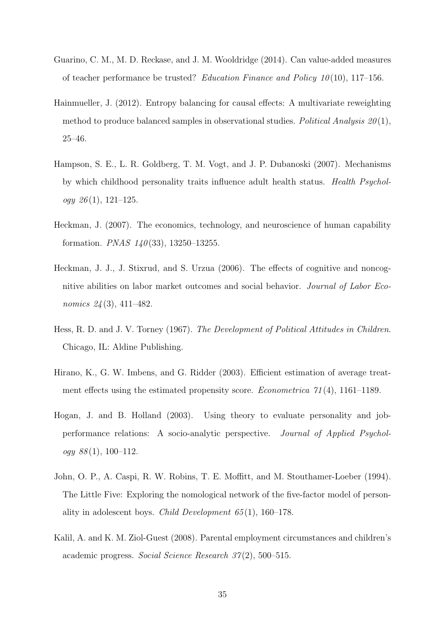- Guarino, C. M., M. D. Reckase, and J. M. Wooldridge (2014). Can value-added measures of teacher performance be trusted? Education Finance and Policy  $10(10)$ , 117–156.
- Hainmueller, J. (2012). Entropy balancing for causal effects: A multivariate reweighting method to produce balanced samples in observational studies. Political Analysis  $20(1)$ , 25–46.
- Hampson, S. E., L. R. Goldberg, T. M. Vogt, and J. P. Dubanoski (2007). Mechanisms by which childhood personality traits influence adult health status. Health Psychol $oqy \; 26(1), 121-125.$
- Heckman, J. (2007). The economics, technology, and neuroscience of human capability formation. *PNAS*  $140(33)$ , 13250-13255.
- Heckman, J. J., J. Stixrud, and S. Urzua (2006). The effects of cognitive and noncognitive abilities on labor market outcomes and social behavior. Journal of Labor Economics 24(3), 411-482.
- Hess, R. D. and J. V. Torney (1967). The Development of Political Attitudes in Children. Chicago, IL: Aldine Publishing.
- Hirano, K., G. W. Imbens, and G. Ridder (2003). Efficient estimation of average treatment effects using the estimated propensity score. *Econometrica*  $\gamma_1(4)$ , 1161–1189.
- Hogan, J. and B. Holland (2003). Using theory to evaluate personality and jobperformance relations: A socio-analytic perspective. Journal of Applied Psychology  $88(1)$ , 100-112.
- John, O. P., A. Caspi, R. W. Robins, T. E. Moffitt, and M. Stouthamer-Loeber (1994). The Little Five: Exploring the nomological network of the five-factor model of personality in adolescent boys. Child Development  $65(1)$ , 160–178.
- Kalil, A. and K. M. Ziol-Guest (2008). Parental employment circumstances and children's academic progress. Social Science Research 37 (2), 500–515.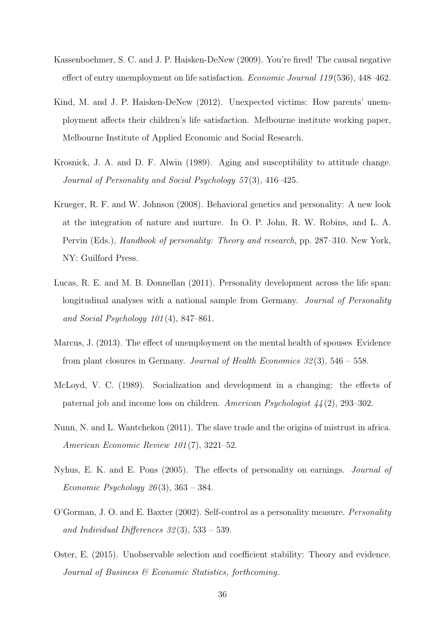- Kassenboehmer, S. C. and J. P. Haisken-DeNew (2009). You're fired! The causal negative effect of entry unemployment on life satisfaction. *Economic Journal 119* (536), 448–462.
- Kind, M. and J. P. Haisken-DeNew (2012). Unexpected victims: How parents' unemployment affects their children's life satisfaction. Melbourne institute working paper, Melbourne Institute of Applied Economic and Social Research.
- Krosnick, J. A. and D. F. Alwin (1989). Aging and susceptibility to attitude change. Journal of Personality and Social Psychology 57(3), 416–425.
- Krueger, R. F. and W. Johnson (2008). Behavioral genetics and personality: A new look at the integration of nature and nurture. In O. P. John, R. W. Robins, and L. A. Pervin (Eds.), Handbook of personality: Theory and research, pp. 287–310. New York, NY: Guilford Press.
- Lucas, R. E. and M. B. Donnellan (2011). Personality development across the life span: longitudinal analyses with a national sample from Germany. *Journal of Personality* and Social Psychology 101 (4), 847–861.
- Marcus, J. (2013). The effect of unemployment on the mental health of spouses Evidence from plant closures in Germany. Journal of Health Economics  $32(3)$ ,  $546 - 558$ .
- McLoyd, V. C. (1989). Socialization and development in a changing: the effects of paternal job and income loss on children. American Psychologist 44 (2), 293–302.
- Nunn, N. and L. Wantchekon (2011). The slave trade and the origins of mistrust in africa. American Economic Review 101 (7), 3221–52.
- Nyhus, E. K. and E. Pons (2005). The effects of personality on earnings. Journal of Economic Psychology  $26(3)$ ,  $363 - 384$ .
- O'Gorman, J. O. and E. Baxter (2002). Self-control as a personality measure. Personality and Individual Differences  $32(3)$ ,  $533 - 539$ .
- Oster, E. (2015). Unobservable selection and coefficient stability: Theory and evidence. Journal of Business & Economic Statistics, forthcoming.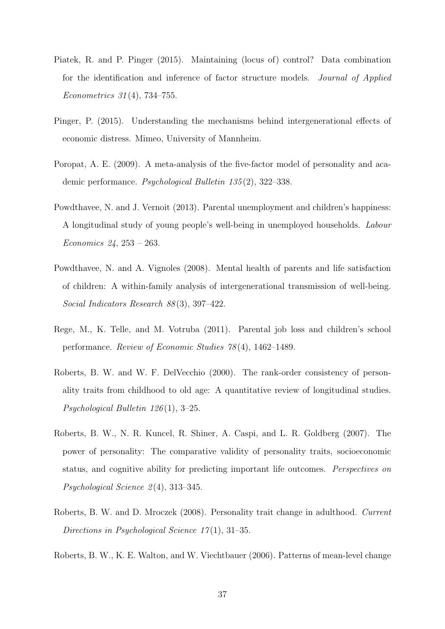- Piatek, R. and P. Pinger (2015). Maintaining (locus of) control? Data combination for the identification and inference of factor structure models. Journal of Applied Econometrics 31 (4), 734–755.
- Pinger, P. (2015). Understanding the mechanisms behind intergenerational effects of economic distress. Mimeo, University of Mannheim.
- Poropat, A. E. (2009). A meta-analysis of the five-factor model of personality and academic performance. Psychological Bulletin 135 (2), 322–338.
- Powdthavee, N. and J. Vernoit (2013). Parental unemployment and children's happiness: A longitudinal study of young people's well-being in unemployed households. Labour Economics 24, 253 – 263.
- Powdthavee, N. and A. Vignoles (2008). Mental health of parents and life satisfaction of children: A within-family analysis of intergenerational transmission of well-being. Social Indicators Research 88(3), 397-422.
- Rege, M., K. Telle, and M. Votruba (2011). Parental job loss and children's school performance. Review of Economic Studies 78 (4), 1462–1489.
- Roberts, B. W. and W. F. DelVecchio (2000). The rank-order consistency of personality traits from childhood to old age: A quantitative review of longitudinal studies. Psychological Bulletin 126 (1), 3–25.
- Roberts, B. W., N. R. Kuncel, R. Shiner, A. Caspi, and L. R. Goldberg (2007). The power of personality: The comparative validity of personality traits, socioeconomic status, and cognitive ability for predicting important life outcomes. Perspectives on Psychological Science  $2(4)$ , 313–345.
- Roberts, B. W. and D. Mroczek (2008). Personality trait change in adulthood. Current Directions in Psychological Science  $17(1)$ , 31–35.
- Roberts, B. W., K. E. Walton, and W. Viechtbauer (2006). Patterns of mean-level change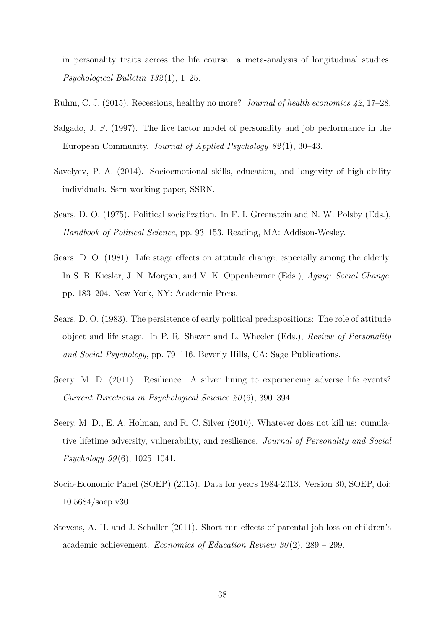in personality traits across the life course: a meta-analysis of longitudinal studies. Psychological Bulletin 132 (1), 1–25.

- Ruhm, C. J. (2015). Recessions, healthy no more? Journal of health economics 42, 17–28.
- Salgado, J. F. (1997). The five factor model of personality and job performance in the European Community. Journal of Applied Psychology 82 (1), 30–43.
- Savelyev, P. A. (2014). Socioemotional skills, education, and longevity of high-ability individuals. Ssrn working paper, SSRN.
- Sears, D. O. (1975). Political socialization. In F. I. Greenstein and N. W. Polsby (Eds.), Handbook of Political Science, pp. 93–153. Reading, MA: Addison-Wesley.
- Sears, D. O. (1981). Life stage effects on attitude change, especially among the elderly. In S. B. Kiesler, J. N. Morgan, and V. K. Oppenheimer (Eds.), Aging: Social Change, pp. 183–204. New York, NY: Academic Press.
- Sears, D. O. (1983). The persistence of early political predispositions: The role of attitude object and life stage. In P. R. Shaver and L. Wheeler (Eds.), Review of Personality and Social Psychology, pp. 79–116. Beverly Hills, CA: Sage Publications.
- Seery, M. D. (2011). Resilience: A silver lining to experiencing adverse life events? Current Directions in Psychological Science 20 (6), 390–394.
- Seery, M. D., E. A. Holman, and R. C. Silver (2010). Whatever does not kill us: cumulative lifetime adversity, vulnerability, and resilience. Journal of Personality and Social Psychology 99 (6), 1025–1041.
- Socio-Economic Panel (SOEP) (2015). Data for years 1984-2013. Version 30, SOEP, doi: 10.5684/soep.v30.
- Stevens, A. H. and J. Schaller (2011). Short-run effects of parental job loss on children's academic achievement. Economics of Education Review  $30(2)$ , 289 – 299.